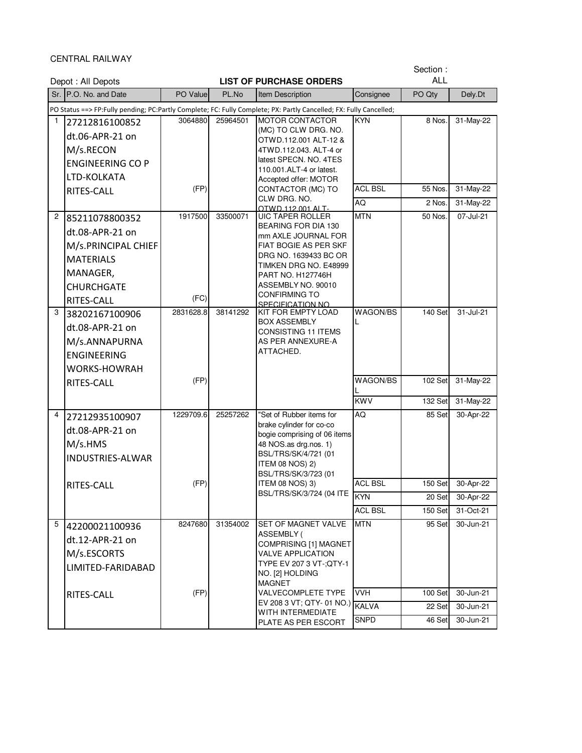CENTRAL RAILWAY

|              | Depot: All Depots                                                                                                           |                   |          | Section:<br><b>ALL</b><br><b>LIST OF PURCHASE ORDERS</b>                                                                                                                                                                                |                      |                    |                        |
|--------------|-----------------------------------------------------------------------------------------------------------------------------|-------------------|----------|-----------------------------------------------------------------------------------------------------------------------------------------------------------------------------------------------------------------------------------------|----------------------|--------------------|------------------------|
|              | Sr. P.O. No. and Date                                                                                                       | PO Value          | PL.No    | Item Description                                                                                                                                                                                                                        | Consignee            | PO Qty             | Dely.Dt                |
|              |                                                                                                                             |                   |          | PO Status ==> FP:Fully pending; PC:Partly Complete; FC: Fully Complete; PX: Partly Cancelled; FX: Fully Cancelled;                                                                                                                      |                      |                    |                        |
| $\mathbf{1}$ | 27212816100852<br>dt.06-APR-21 on<br>M/s.RECON<br><b>ENGINEERING CO P</b><br>LTD-KOLKATA                                    | 3064880           | 25964501 | <b>MOTOR CONTACTOR</b><br>(MC) TO CLW DRG. NO.<br>OTWD.112.001 ALT-12 &<br>4TWD.112.043. ALT-4 or<br>latest SPECN. NO. 4TES<br>110.001.ALT-4 or latest.<br>Accepted offer: MOTOR                                                        | <b>KYN</b>           | 8 Nos.             | 31-May-22              |
|              | RITES-CALL                                                                                                                  | (FP)              |          | CONTACTOR (MC) TO                                                                                                                                                                                                                       | <b>ACL BSL</b>       | 55 Nos.            | 31-May-22              |
|              |                                                                                                                             |                   |          | CLW DRG. NO.<br>OTWD.112.001 ALT-                                                                                                                                                                                                       | AQ                   | 2 Nos.             | $31-May-22$            |
| 2            | 85211078800352<br>dt.08-APR-21 on<br>M/s.PRINCIPAL CHIEF<br><b>MATERIALS</b><br>MANAGER,<br><b>CHURCHGATE</b><br>RITES-CALL | 1917500<br>(FC)   | 33500071 | <b>UIC TAPER ROLLER</b><br>BEARING FOR DIA 130<br>mm AXLE JOURNAL FOR<br>FIAT BOGIE AS PER SKF<br>DRG NO. 1639433 BC OR<br>TIMKEN DRG NO. E48999<br>PART NO. H127746H<br>ASSEMBLY NO. 90010<br><b>CONFIRMING TO</b><br>SPECIFICATION NO | <b>MTN</b>           | 50 Nos.            | 07-Jul-21              |
| 3            | 38202167100906<br>dt.08-APR-21 on<br>M/s.ANNAPURNA<br><b>ENGINEERING</b><br><b>WORKS-HOWRAH</b><br>RITES-CALL               | 2831628.8<br>(FP) | 38141292 | KIT FOR EMPTY LOAD<br><b>BOX ASSEMBLY</b><br>CONSISTING 11 ITEMS<br>AS PER ANNEXURE-A<br>ATTACHED.                                                                                                                                      | WAGON/BS<br>WAGON/BS | 140 Set<br>102 Set | 31-Jul-21<br>31-May-22 |
|              |                                                                                                                             |                   |          |                                                                                                                                                                                                                                         | <b>KWV</b>           | 132 Set            | 31-May-22              |
| 4            | 27212935100907<br>dt.08-APR-21 on<br>M/s.HMS<br><b>INDUSTRIES-ALWAR</b><br>RITES-CALL                                       | 1229709.6<br>(FP) | 25257262 | "Set of Rubber items for<br>brake cylinder for co-co<br>bogie comprising of 06 items<br>48 NOS.as drg.nos. 1)<br>BSL/TRS/SK/4/721 (01<br><b>ITEM 08 NOS) 2)</b><br>BSL/TRS/SK/3/723 (01<br>ITEM 08 NOS) 3)                              | AQ<br><b>ACL BSL</b> | 85 Set<br>150 Set  | 30-Apr-22<br>30-Apr-22 |
|              |                                                                                                                             |                   |          | BSL/TRS/SK/3/724 (04 ITE                                                                                                                                                                                                                | <b>KYN</b>           | 20 Set             | 30-Apr-22              |
|              |                                                                                                                             |                   |          |                                                                                                                                                                                                                                         | <b>ACL BSL</b>       | 150 Set            | 31-Oct-21              |
| 5            | 42200021100936<br>dt.12-APR-21 on<br>M/s.ESCORTS<br>LIMITED-FARIDABAD                                                       | 8247680           | 31354002 | SET OF MAGNET VALVE<br>ASSEMBLY (<br>COMPRISING [1] MAGNET<br><b>VALVE APPLICATION</b><br>TYPE EV 207 3 VT-; QTY-1<br>NO. [2] HOLDING<br><b>MAGNET</b>                                                                                  | <b>MTN</b>           | 95 Set             | $30 - Jun-21$          |
|              | RITES-CALL                                                                                                                  | (FP)              |          | <b>VALVECOMPLETE TYPE</b>                                                                                                                                                                                                               | <b>VVH</b>           | 100 Set            | 30-Jun-21              |
|              |                                                                                                                             |                   |          | EV 208 3 VT; QTY- 01 NO.)<br>WITH INTERMEDIATE                                                                                                                                                                                          | <b>KALVA</b>         | 22 Set             | 30-Jun-21              |
|              |                                                                                                                             |                   |          | PLATE AS PER ESCORT                                                                                                                                                                                                                     | <b>SNPD</b>          | 46 Set             | 30-Jun-21              |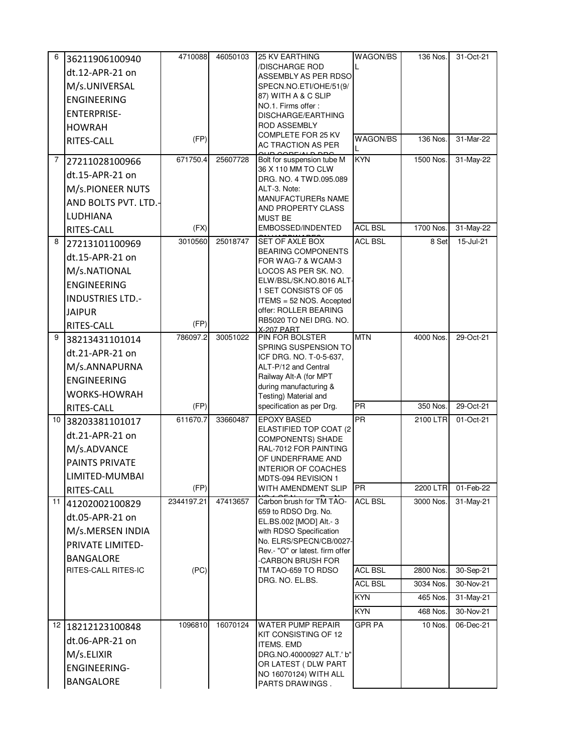| 6  | 36211906100940          | 4710088    | 46050103 | <b>25 KV EARTHING</b>                                | <b>WAGON/BS</b> | 136 Nos.  | 31-Oct-21   |
|----|-------------------------|------------|----------|------------------------------------------------------|-----------------|-----------|-------------|
|    | dt.12-APR-21 on         |            |          | /DISCHARGE ROD<br><b>ASSEMBLY AS PER RDSO</b>        |                 |           |             |
|    | M/s.UNIVERSAL           |            |          | SPECN.NO.ETI/OHE/51(9/                               |                 |           |             |
|    | <b>ENGINEERING</b>      |            |          | 87) WITH A & C SLIP                                  |                 |           |             |
|    | <b>ENTERPRISE-</b>      |            |          | NO.1. Firms offer:<br><b>DISCHARGE/EARTHING</b>      |                 |           |             |
|    | <b>HOWRAH</b>           |            |          | <b>ROD ASSEMBLY</b>                                  |                 |           |             |
|    | RITES-CALL              | (FP)       |          | COMPLETE FOR 25 KV                                   | WAGON/BS        | 136 Nos.  | 31-Mar-22   |
|    |                         |            |          | AC TRACTION AS PER<br>$\overline{O}$                 |                 |           |             |
| 7  | 27211028100966          | 671750.4   | 25607728 | Bolt for suspension tube M<br>36 X 110 MM TO CLW     | <b>KYN</b>      | 1500 Nos. | 31-May-22   |
|    | dt.15-APR-21 on         |            |          | DRG. NO. 4 TWD.095.089                               |                 |           |             |
|    | M/s.PIONEER NUTS        |            |          | ALT-3. Note:                                         |                 |           |             |
|    | AND BOLTS PVT. LTD.-    |            |          | MANUFACTURERs NAME<br>AND PROPERTY CLASS             |                 |           |             |
|    | LUDHIANA                |            |          | <b>MUST BE</b>                                       |                 |           |             |
|    | RITES-CALL              | (FX)       |          | EMBOSSED/INDENTED                                    | <b>ACL BSL</b>  | 1700 Nos. | 31-May-22   |
| 8  | 27213101100969          | 3010560    | 25018747 | SET OF AXLE BOX                                      | <b>ACL BSL</b>  | 8 Set     | 15-Jul-21   |
|    | dt.15-APR-21 on         |            |          | <b>BEARING COMPONENTS</b><br>FOR WAG-7 & WCAM-3      |                 |           |             |
|    | M/s.NATIONAL            |            |          | LOCOS AS PER SK. NO.                                 |                 |           |             |
|    | <b>ENGINEERING</b>      |            |          | ELW/BSL/SK.NO.8016 ALT-<br>1 SET CONSISTS OF 05      |                 |           |             |
|    | <b>INDUSTRIES LTD.-</b> |            |          | ITEMS = 52 NOS. Accepted                             |                 |           |             |
|    | <b>JAIPUR</b>           |            |          | offer: ROLLER BEARING                                |                 |           |             |
|    | RITES-CALL              | (FP)       |          | RB5020 TO NEI DRG. NO.<br><b>X-207 PART</b>          |                 |           |             |
| 9  | 38213431101014          | 786097.2   | 30051022 | PIN FOR BOLSTER                                      | <b>MTN</b>      | 4000 Nos  | 29-Oct-21   |
|    | dt.21-APR-21 on         |            |          | SPRING SUSPENSION TO<br>ICF DRG. NO. T-0-5-637,      |                 |           |             |
|    | M/s.ANNAPURNA           |            |          | ALT-P/12 and Central                                 |                 |           |             |
|    | <b>ENGINEERING</b>      |            |          | Railway Alt-A (for MPT                               |                 |           |             |
|    | WORKS-HOWRAH            |            |          | during manufacturing &<br>Testing) Material and      |                 |           |             |
|    | <b>RITES-CALL</b>       | (FP)       |          | specification as per Drg.                            | <b>PR</b>       | 350 Nos.  | 29-Oct-21   |
| 10 | 38203381101017          | 611670.7   | 33660487 | <b>EPOXY BASED</b>                                   | PR              | 2100 LTR  | 01-Oct-21   |
|    | dt.21-APR-21 on         |            |          | ELASTIFIED TOP COAT (2)<br><b>COMPONENTS) SHADE</b>  |                 |           |             |
|    | M/s.ADVANCE             |            |          | RAL-7012 FOR PAINTING                                |                 |           |             |
|    | PAINTS PRIVATE          |            |          | OF UNDERFRAME AND                                    |                 |           |             |
|    | LIMITED-MUMBAI          |            |          | INTERIOR OF COACHES<br>MDTS-094 REVISION 1           |                 |           |             |
|    | RITES-CALL              | (FP)       |          | WITH AMENDMENT SLIP                                  | <b>PR</b>       | 2200 LTR  | $01-Feb-22$ |
| 11 | 41202002100829          | 2344197.21 | 47413657 | Carbon brush for TM TAO-                             | <b>ACL BSL</b>  | 3000 Nos. | 31-May-21   |
|    | dt.05-APR-21 on         |            |          | 659 to RDSO Drg. No.<br>EL.BS.002 [MOD] Alt.- 3      |                 |           |             |
|    | M/s.MERSEN INDIA        |            |          | with RDSO Specification                              |                 |           |             |
|    | <b>PRIVATE LIMITED-</b> |            |          | No. ELRS/SPECN/CB/0027-                              |                 |           |             |
|    | <b>BANGALORE</b>        |            |          | Rev.- "O" or latest, firm offer<br>-CARBON BRUSH FOR |                 |           |             |
|    | RITES-CALL RITES-IC     | (PC)       |          | TM TAO-659 TO RDSO                                   | <b>ACL BSL</b>  | 2800 Nos. | 30-Sep-21   |
|    |                         |            |          | DRG. NO. EL.BS.                                      | <b>ACL BSL</b>  | 3034 Nos. | 30-Nov-21   |
|    |                         |            |          |                                                      | <b>KYN</b>      | 465 Nos.  | 31-May-21   |
|    |                         |            |          |                                                      | <b>KYN</b>      | 468 Nos.  | 30-Nov-21   |
|    | 12 18212123100848       | 1096810    | 16070124 | <b>WATER PUMP REPAIR</b>                             | <b>GPR PA</b>   | 10 Nos.   | 06-Dec-21   |
|    | dt.06-APR-21 on         |            |          | KIT CONSISTING OF 12<br><b>ITEMS. EMD</b>            |                 |           |             |
|    | M/s.ELIXIR              |            |          | DRG.NO.40000927 ALT.' b"                             |                 |           |             |
|    | <b>ENGINEERING-</b>     |            |          | OR LATEST ( DLW PART                                 |                 |           |             |
|    | <b>BANGALORE</b>        |            |          | NO 16070124) WITH ALL<br>PARTS DRAWINGS.             |                 |           |             |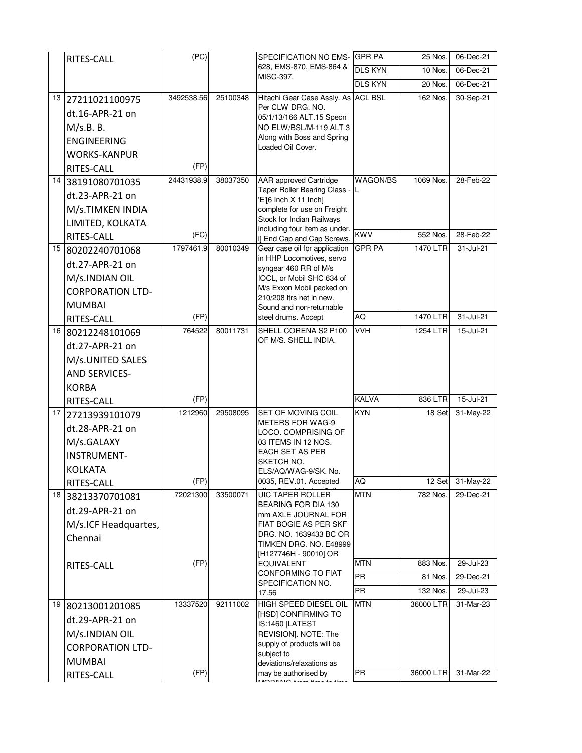|    | RITES-CALL              | (PC)       |          | SPECIFICATION NO EMS-                                       | <b>GPR PA</b>   | 25 Nos.              | 06-Dec-21 |
|----|-------------------------|------------|----------|-------------------------------------------------------------|-----------------|----------------------|-----------|
|    |                         |            |          | 628, EMS-870, EMS-864 &<br>MISC-397.                        | <b>DLS KYN</b>  | 10 Nos.              | 06-Dec-21 |
|    |                         |            |          |                                                             | <b>DLS KYN</b>  | 20 Nos.              | 06-Dec-21 |
| 13 | 27211021100975          | 3492538.56 | 25100348 | Hitachi Gear Case Assly. As                                 | <b>ACL BSL</b>  | 162 Nos.             | 30-Sep-21 |
|    | dt.16-APR-21 on         |            |          | Per CLW DRG. NO.<br>05/1/13/166 ALT.15 Specn                |                 |                      |           |
|    | M/s.B. B.               |            |          | NO ELW/BSL/M-119 ALT 3                                      |                 |                      |           |
|    | <b>ENGINEERING</b>      |            |          | Along with Boss and Spring                                  |                 |                      |           |
|    | WORKS-KANPUR            |            |          | Loaded Oil Cover.                                           |                 |                      |           |
|    | RITES-CALL              | (FP)       |          |                                                             |                 |                      |           |
|    | 14 38191080701035       | 24431938.9 | 38037350 | <b>AAR</b> approved Cartridge                               | <b>WAGON/BS</b> | 1069 Nos.            | 28-Feb-22 |
|    | dt.23-APR-21 on         |            |          | Taper Roller Bearing Class -<br>'E'[6 Inch X 11 Inch]       |                 |                      |           |
|    | M/s.TIMKEN INDIA        |            |          | complete for use on Freight                                 |                 |                      |           |
|    | LIMITED, KOLKATA        |            |          | Stock for Indian Railways                                   |                 |                      |           |
|    | RITES-CALL              | (FC)       |          | including four item as under.<br>i] End Cap and Cap Screws. | <b>KWV</b>      | 552 Nos.             | 28-Feb-22 |
|    | 15 80202240701068       | 1797461.9  | 80010349 | Gear case oil for application                               | <b>GPR PA</b>   | 1470 LTR             | 31-Jul-21 |
|    | dt.27-APR-21 on         |            |          | in HHP Locomotives, servo<br>syngear 460 RR of M/s          |                 |                      |           |
|    | M/s.INDIAN OIL          |            |          | IOCL, or Mobil SHC 634 of                                   |                 |                      |           |
|    | <b>CORPORATION LTD-</b> |            |          | M/s Exxon Mobil packed on                                   |                 |                      |           |
|    | <b>MUMBAI</b>           |            |          | 210/208 Itrs net in new.<br>Sound and non-returnable        |                 |                      |           |
|    | RITES-CALL              | (FP)       |          | steel drums. Accept                                         | AQ              | 1470 LTR             | 31-Jul-21 |
|    | 16 80212248101069       | 764522     | 80011731 | SHELL CORENA S2 P100                                        | <b>VVH</b>      | 1254 LTR             | 15-Jul-21 |
|    | dt.27-APR-21 on         |            |          | OF M/S. SHELL INDIA.                                        |                 |                      |           |
|    | M/s.UNITED SALES        |            |          |                                                             |                 |                      |           |
|    | <b>AND SERVICES-</b>    |            |          |                                                             |                 |                      |           |
|    | <b>KORBA</b>            |            |          |                                                             |                 |                      |           |
|    | <b>RITES-CALL</b>       | (FP)       |          |                                                             | <b>KALVA</b>    | 836 LTR              | 15-Jul-21 |
| 17 | 27213939101079          | 1212960    | 29508095 | SET OF MOVING COIL                                          | <b>KYN</b>      | 18 Set               | 31-May-22 |
|    | dt.28-APR-21 on         |            |          | <b>METERS FOR WAG-9</b><br>LOCO. COMPRISING OF              |                 |                      |           |
|    | M/s.GALAXY              |            |          | 03 ITEMS IN 12 NOS.                                         |                 |                      |           |
|    | <b>INSTRUMENT-</b>      |            |          | EACH SET AS PER<br>SKETCH NO.                               |                 |                      |           |
|    | <b>KOLKATA</b>          |            |          | ELS/AQ/WAG-9/SK. No.                                        |                 |                      |           |
|    | RITES-CALL              | (FP)       |          | 0035, REV.01. Accepted                                      | <b>AQ</b>       | $\overline{1}$ 2 Set | 31-May-22 |
| 18 | 38213370701081          | 72021300   | 33500071 | <b>UIC TAPER ROLLER</b>                                     | <b>MTN</b>      | 782 Nos.             | 29-Dec-21 |
|    | dt.29-APR-21 on         |            |          | BEARING FOR DIA 130<br>mm AXLE JOURNAL FOR                  |                 |                      |           |
|    | M/s.ICF Headquartes,    |            |          | FIAT BOGIE AS PER SKF                                       |                 |                      |           |
|    | Chennai                 |            |          | DRG. NO. 1639433 BC OR<br>TIMKEN DRG. NO. E48999            |                 |                      |           |
|    |                         |            |          | [H127746H - 90010] OR                                       |                 |                      |           |
|    | RITES-CALL              | (FP)       |          | EQUIVALENT                                                  | <b>MTN</b>      | 883 Nos.             | 29-Jul-23 |
|    |                         |            |          | <b>CONFORMING TO FIAT</b><br>SPECIFICATION NO.              | <b>PR</b>       | 81 Nos               | 29-Dec-21 |
|    |                         |            |          | 17.56                                                       | <b>PR</b>       | 132 Nos.             | 29-Jul-23 |
| 19 | 80213001201085          | 13337520   | 92111002 | <b>HIGH SPEED DIESEL OIL</b>                                | <b>MTN</b>      | 36000 LTR            | 31-Mar-23 |
|    | dt.29-APR-21 on         |            |          | [HSD] CONFIRMING TO<br>IS:1460 [LATEST                      |                 |                      |           |
|    | M/s.INDIAN OIL          |            |          | REVISION]. NOTE: The                                        |                 |                      |           |
|    | <b>CORPORATION LTD-</b> |            |          | supply of products will be<br>subject to                    |                 |                      |           |
|    | <b>MUMBAI</b>           |            |          | deviations/relaxations as                                   |                 |                      |           |
|    | RITES-CALL              | (FP)       |          | may be authorised by<br>MODONO L <sub>2</sub>               | <b>PR</b>       | 36000 LTR            | 31-Mar-22 |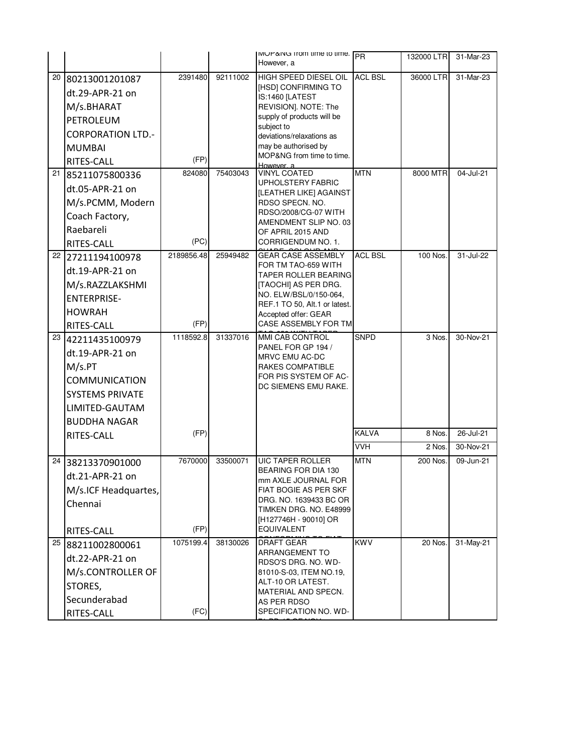|    |                          |            |          | MUP&NG Trom time to time.<br>However, a               | <b>PR</b>      | 132000 LTRI         | 31-Mar-23 |
|----|--------------------------|------------|----------|-------------------------------------------------------|----------------|---------------------|-----------|
| 20 | 80213001201087           | 2391480    | 92111002 | <b>HIGH SPEED DIESEL OIL</b>                          | <b>ACL BSL</b> | 36000 LTR           | 31-Mar-23 |
|    | dt.29-APR-21 on          |            |          | [HSD] CONFIRMING TO                                   |                |                     |           |
|    | M/s.BHARAT               |            |          | IS:1460 [LATEST<br>REVISION]. NOTE: The               |                |                     |           |
|    | PETROLEUM                |            |          | supply of products will be                            |                |                     |           |
|    | <b>CORPORATION LTD.-</b> |            |          | subject to<br>deviations/relaxations as               |                |                     |           |
|    | <b>MUMBAI</b>            |            |          | may be authorised by                                  |                |                     |           |
|    | <b>RITES-CALL</b>        | (FP)       |          | MOP&NG from time to time.                             |                |                     |           |
| 21 | 85211075800336           | 824080     | 75403043 | However, a<br><b>VINYL COATED</b>                     | <b>MTN</b>     | 8000 MTR            | 04-Jul-21 |
|    | dt.05-APR-21 on          |            |          | <b>UPHOLSTERY FABRIC</b>                              |                |                     |           |
|    | M/s.PCMM, Modern         |            |          | [LEATHER LIKE] AGAINST<br>RDSO SPECN. NO.             |                |                     |           |
|    | Coach Factory,           |            |          | RDSO/2008/CG-07 WITH                                  |                |                     |           |
|    | Raebareli                |            |          | AMENDMENT SLIP NO. 03<br>OF APRIL 2015 AND            |                |                     |           |
|    | RITES-CALL               | (PC)       |          | CORRIGENDUM NO. 1.                                    |                |                     |           |
| 22 | 27211194100978           | 2189856.48 | 25949482 | <b>GEAR CASE ASSEMBLY</b>                             | <b>ACL BSL</b> | 100 Nos.            | 31-Jul-22 |
|    | dt.19-APR-21 on          |            |          | FOR TM TAO-659 WITH                                   |                |                     |           |
|    | M/s.RAZZLAKSHMI          |            |          | TAPER ROLLER BEARING<br>[TAOCHI] AS PER DRG.          |                |                     |           |
|    | <b>ENTERPRISE-</b>       |            |          | NO. ELW/BSL/0/150-064,                                |                |                     |           |
|    | <b>HOWRAH</b>            |            |          | REF.1 TO 50, Alt.1 or latest.<br>Accepted offer: GEAR |                |                     |           |
|    | RITES-CALL               | (FP)       |          | <b>CASE ASSEMBLY FOR TM</b>                           |                |                     |           |
| 23 | 42211435100979           | 1118592.8  | 31337016 | MMI CAB CONTROL                                       | <b>SNPD</b>    | $\overline{3}$ Nos. | 30-Nov-21 |
|    | dt.19-APR-21 on          |            |          | PANEL FOR GP 194 /<br><b>MRVC EMU AC-DC</b>           |                |                     |           |
|    | M/s.PT                   |            |          | RAKES COMPATIBLE                                      |                |                     |           |
|    | <b>COMMUNICATION</b>     |            |          | FOR PIS SYSTEM OF AC-                                 |                |                     |           |
|    | <b>SYSTEMS PRIVATE</b>   |            |          | DC SIEMENS EMU RAKE.                                  |                |                     |           |
|    | LIMITED-GAUTAM           |            |          |                                                       |                |                     |           |
|    | <b>BUDDHA NAGAR</b>      |            |          |                                                       |                |                     |           |
|    | <b>RITES-CALL</b>        | (FP)       |          |                                                       | <b>KALVA</b>   | 8 Nos.              | 26-Jul-21 |
|    |                          |            |          |                                                       | <b>VVH</b>     | 2 Nos.              | 30-Nov-21 |
| 24 | 38213370901000           | 7670000    | 33500071 | <b>UIC TAPER ROLLER</b>                               | <b>MTN</b>     | 200 Nos             | 09-Jun-21 |
|    | dt.21-APR-21 on          |            |          | BEARING FOR DIA 130<br>mm AXLE JOURNAL FOR            |                |                     |           |
|    | M/s.ICF Headquartes,     |            |          | FIAT BOGIE AS PER SKF                                 |                |                     |           |
|    | Chennai                  |            |          | DRG. NO. 1639433 BC OR<br>TIMKEN DRG. NO. E48999      |                |                     |           |
|    |                          |            |          | [H127746H - 90010] OR                                 |                |                     |           |
|    | RITES-CALL               | (FP)       |          | <b>EQUIVALENT</b>                                     |                |                     |           |
|    | 25 88211002800061        | 1075199.4  | 38130026 | <b>DRAFT GEAR</b>                                     | <b>KWV</b>     | 20 Nos.             | 31-May-21 |
|    | dt.22-APR-21 on          |            |          | <b>ARRANGEMENT TO</b><br>RDSO'S DRG. NO. WD-          |                |                     |           |
|    | M/s.CONTROLLER OF        |            |          | 81010-S-03, ITEM NO.19,                               |                |                     |           |
|    | STORES,                  |            |          | ALT-10 OR LATEST.<br>MATERIAL AND SPECN.              |                |                     |           |
|    | Secunderabad             |            |          | AS PER RDSO                                           |                |                     |           |
|    | RITES-CALL               | (FC)       |          | SPECIFICATION NO. WD-                                 |                |                     |           |

71-BD-15 OF NOV-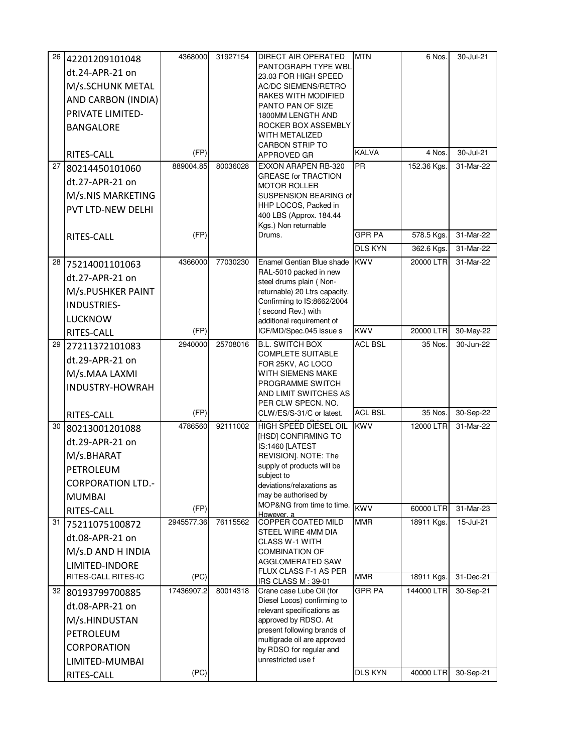|                 | 26 42201209101048        | 4368000    | 31927154 | <b>DIRECT AIR OPERATED</b>                               | <b>MTN</b>     | 6 Nos.      | 30-Jul-21 |
|-----------------|--------------------------|------------|----------|----------------------------------------------------------|----------------|-------------|-----------|
|                 | dt.24-APR-21 on          |            |          | PANTOGRAPH TYPE WBL                                      |                |             |           |
|                 | M/s.SCHUNK METAL         |            |          | 23.03 FOR HIGH SPEED<br>AC/DC SIEMENS/RETRO              |                |             |           |
|                 | AND CARBON (INDIA)       |            |          | RAKES WITH MODIFIED                                      |                |             |           |
|                 | PRIVATE LIMITED-         |            |          | PANTO PAN OF SIZE                                        |                |             |           |
|                 | <b>BANGALORE</b>         |            |          | 1800MM LENGTH AND<br>ROCKER BOX ASSEMBLY                 |                |             |           |
|                 |                          |            |          | WITH METALIZED                                           |                |             |           |
|                 |                          | (FP)       |          | CARBON STRIP TO                                          | <b>KALVA</b>   | 4 Nos.      | 30-Jul-21 |
|                 | RITES-CALL               | 889004.85  | 80036028 | APPROVED GR<br>EXXON ARAPEN RB-320                       | <b>PR</b>      |             | 31-Mar-22 |
| 27              | 80214450101060           |            |          | <b>GREASE for TRACTION</b>                               |                | 152.36 Kgs. |           |
|                 | dt.27-APR-21 on          |            |          | <b>MOTOR ROLLER</b>                                      |                |             |           |
|                 | M/s.NIS MARKETING        |            |          | SUSPENSION BEARING of                                    |                |             |           |
|                 | PVT LTD-NEW DELHI        |            |          | HHP LOCOS, Packed in<br>400 LBS (Approx. 184.44          |                |             |           |
|                 |                          |            |          | Kgs.) Non returnable                                     |                |             |           |
|                 | RITES-CALL               | (FP)       |          | Drums.                                                   | <b>GPR PA</b>  | 578.5 Kgs.  | 31-Mar-22 |
|                 |                          |            |          |                                                          | <b>DLS KYN</b> | 362.6 Kgs.  | 31-Mar-22 |
|                 | 28 75214001101063        | 4366000    | 77030230 | Enamel Gentian Blue shade                                | <b>KWV</b>     | 20000 LTR   | 31-Mar-22 |
|                 | dt.27-APR-21 on          |            |          | RAL-5010 packed in new<br>steel drums plain (Non-        |                |             |           |
|                 | M/s.PUSHKER PAINT        |            |          | returnable) 20 Ltrs capacity.                            |                |             |           |
|                 | <b>INDUSTRIES-</b>       |            |          | Confirming to IS:8662/2004                               |                |             |           |
|                 | <b>LUCKNOW</b>           |            |          | (second Rev.) with<br>additional requirement of          |                |             |           |
|                 | RITES-CALL               | (FP)       |          | ICF/MD/Spec.045 issue s                                  | <b>KWV</b>     | 20000 LTR   | 30-May-22 |
| 29              | 27211372101083           | 2940000    | 25708016 | <b>B.L. SWITCH BOX</b>                                   | <b>ACL BSL</b> | 35 Nos.     | 30-Jun-22 |
|                 | dt.29-APR-21 on          |            |          | <b>COMPLETE SUITABLE</b>                                 |                |             |           |
|                 | M/s.MAA LAXMI            |            |          | FOR 25KV, AC LOCO<br>WITH SIEMENS MAKE                   |                |             |           |
|                 |                          |            |          | PROGRAMME SWITCH                                         |                |             |           |
|                 | <b>INDUSTRY-HOWRAH</b>   |            |          | AND LIMIT SWITCHES AS                                    |                |             |           |
|                 |                          | (FP)       |          | PER CLW SPECN. NO.                                       | <b>ACL BSL</b> | 35 Nos.     | 30-Sep-22 |
|                 | RITES-CALL               |            |          | CLW/ES/S-31/C or latest.<br><b>HIGH SPEED DIESEL OIL</b> | <b>KWV</b>     |             |           |
| 30 <sub>1</sub> | 80213001201088           | 4786560    | 92111002 | [HSD] CONFIRMING TO                                      |                | 12000 LTR   | 31-Mar-22 |
|                 | dt.29-APR-21 on          |            |          | IS:1460 [LATEST                                          |                |             |           |
|                 | M/s.BHARAT               |            |          | REVISION]. NOTE: The                                     |                |             |           |
|                 | PETROLEUM                |            |          | supply of products will be<br>subject to                 |                |             |           |
|                 | <b>CORPORATION LTD.-</b> |            |          | deviations/relaxations as                                |                |             |           |
|                 | <b>MUMBAI</b>            |            |          | may be authorised by                                     |                |             |           |
|                 | RITES-CALL               | (FP)       |          | MOP&NG from time to time.<br>However a                   | <b>KWV</b>     | 60000 LTR   | 31-Mar-23 |
| 31              | 75211075100872           | 2945577.36 | 76115562 | COPPER COATED MILD                                       | <b>MMR</b>     | 18911 Kgs.  | 15-Jul-21 |
|                 | dt.08-APR-21 on          |            |          | STEEL WIRE 4MM DIA<br>CLASS W-1 WITH                     |                |             |           |
|                 | M/s.D AND H INDIA        |            |          | <b>COMBINATION OF</b>                                    |                |             |           |
|                 | LIMITED-INDORE           |            |          | AGGLOMERATED SAW                                         |                |             |           |
|                 | RITES-CALL RITES-IC      | (PC)       |          | FLUX CLASS F-1 AS PER<br>IRS CLASS M: 39-01              | <b>MMR</b>     | 18911 Kgs.  | 31-Dec-21 |
|                 | 32 80193799700885        | 17436907.2 | 80014318 | Crane case Lube Oil (for                                 | <b>GPR PA</b>  | 144000 LTR  | 30-Sep-21 |
|                 | dt.08-APR-21 on          |            |          | Diesel Locos) confirming to                              |                |             |           |
|                 | M/s.HINDUSTAN            |            |          | relevant specifications as<br>approved by RDSO. At       |                |             |           |
|                 | PETROLEUM                |            |          | present following brands of                              |                |             |           |
|                 |                          |            |          | multigrade oil are approved                              |                |             |           |
|                 | CORPORATION              |            |          | by RDSO for regular and<br>unrestricted use f            |                |             |           |
|                 | LIMITED-MUMBAI           |            |          |                                                          |                |             |           |
|                 | RITES-CALL               | (PC)       |          |                                                          | <b>DLS KYN</b> | 40000 LTR   | 30-Sep-21 |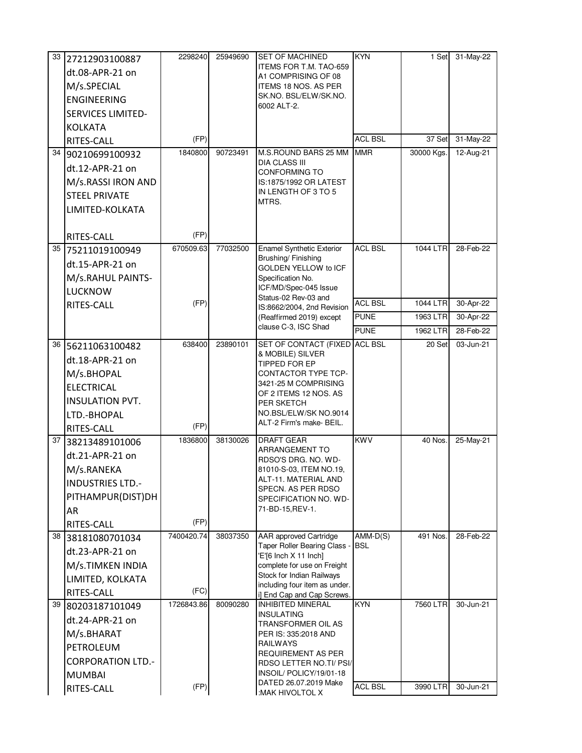|      | 33 27212903100887        | 2298240    | 25949690 | <b>SET OF MACHINED</b>                                        | <b>KYN</b>               | 1 Set               | 31-May-22 |
|------|--------------------------|------------|----------|---------------------------------------------------------------|--------------------------|---------------------|-----------|
|      | dt.08-APR-21 on          |            |          | ITEMS FOR T.M. TAO-659<br>A1 COMPRISING OF 08                 |                          |                     |           |
|      | M/s.SPECIAL              |            |          | ITEMS 18 NOS. AS PER                                          |                          |                     |           |
|      | <b>ENGINEERING</b>       |            |          | SK.NO. BSL/ELW/SK.NO.                                         |                          |                     |           |
|      | <b>SERVICES LIMITED-</b> |            |          | 6002 ALT-2.                                                   |                          |                     |           |
|      | <b>KOLKATA</b>           |            |          |                                                               |                          |                     |           |
|      | RITES-CALL               | (FP)       |          |                                                               | <b>ACL BSL</b>           | 37 Set              | 31-May-22 |
|      | 34 90210699100932        | 1840800    | 90723491 | M.S.ROUND BARS 25 MM                                          | <b>MMR</b>               | 30000 Kgs.          | 12-Aug-21 |
|      | dt.12-APR-21 on          |            |          | <b>DIA CLASS III</b><br><b>CONFORMING TO</b>                  |                          |                     |           |
|      | M/s.RASSI IRON AND       |            |          | IS:1875/1992 OR LATEST                                        |                          |                     |           |
|      | <b>STEEL PRIVATE</b>     |            |          | IN LENGTH OF 3 TO 5                                           |                          |                     |           |
|      | LIMITED-KOLKATA          |            |          | MTRS.                                                         |                          |                     |           |
|      |                          |            |          |                                                               |                          |                     |           |
|      | RITES-CALL               | (FP)       |          |                                                               |                          |                     |           |
|      | 35 75211019100949        | 670509.63  | 77032500 | <b>Enamel Synthetic Exterior</b><br>Brushing/Finishing        | <b>ACL BSL</b>           | 1044 LTR            | 28-Feb-22 |
|      | dt.15-APR-21 on          |            |          | GOLDEN YELLOW to ICF                                          |                          |                     |           |
|      | M/s.RAHUL PAINTS-        |            |          | Specification No.                                             |                          |                     |           |
|      | <b>LUCKNOW</b>           |            |          | ICF/MD/Spec-045 Issue<br>Status-02 Rev-03 and                 |                          |                     |           |
|      | RITES-CALL               | (FP)       |          | IS:8662/2004, 2nd Revision                                    | <b>ACL BSL</b>           | 1044 LTR            | 30-Apr-22 |
|      |                          |            |          | (Reaffirmed 2019) except<br>clause C-3, ISC Shad              | <b>PUNE</b>              | 1963 LTR            | 30-Apr-22 |
|      |                          |            |          |                                                               | <b>PUNE</b>              | 1962 LTR            | 28-Feb-22 |
| 36   | 56211063100482           | 638400     | 23890101 | SET OF CONTACT (FIXED<br>& MOBILE) SILVER                     | <b>ACL BSL</b>           | $\overline{20}$ Set | 03-Jun-21 |
|      | dt.18-APR-21 on          |            |          | TIPPED FOR EP                                                 |                          |                     |           |
|      | M/s.BHOPAL               |            |          | CONTACTOR TYPE TCP-                                           |                          |                     |           |
|      | <b>ELECTRICAL</b>        |            |          | 3421-25 M COMPRISING<br>OF 2 ITEMS 12 NOS. AS                 |                          |                     |           |
|      | <b>INSULATION PVT.</b>   |            |          | PER SKETCH                                                    |                          |                     |           |
|      | LTD.-BHOPAL              |            |          | NO.BSL/ELW/SK NO.9014<br>ALT-2 Firm's make- BEIL.             |                          |                     |           |
|      | RITES-CALL               | (FP)       |          |                                                               |                          |                     |           |
| 37 I | 38213489101006           | 1836800    | 38130026 | <b>DRAFT GEAR</b><br><b>ARRANGEMENT TO</b>                    | <b>KWV</b>               | 40 Nos.             | 25-May-21 |
|      | dt.21-APR-21 on          |            |          | RDSO'S DRG. NO. WD-                                           |                          |                     |           |
|      | M/s.RANEKA               |            |          | 81010-S-03, ITEM NO.19,                                       |                          |                     |           |
|      | <b>INDUSTRIES LTD.-</b>  |            |          | ALT-11. MATERIAL AND<br>SPECN. AS PER RDSO                    |                          |                     |           |
|      | PITHAMPUR(DIST)DH        |            |          | SPECIFICATION NO. WD-                                         |                          |                     |           |
|      | AR                       |            |          | 71-BD-15, REV-1.                                              |                          |                     |           |
|      | RITES-CALL               | (FP)       |          |                                                               |                          |                     |           |
| 38   | 38181080701034           | 7400420.74 | 38037350 | <b>AAR</b> approved Cartridge<br>Taper Roller Bearing Class - | $AMM-D(S)$<br><b>BSL</b> | 491 Nos.            | 28-Feb-22 |
|      | dt.23-APR-21 on          |            |          | 'E'[6 Inch X 11 Inch]                                         |                          |                     |           |
|      | M/s.TIMKEN INDIA         |            |          | complete for use on Freight                                   |                          |                     |           |
|      | LIMITED, KOLKATA         |            |          | Stock for Indian Railways<br>including four item as under.    |                          |                     |           |
|      | RITES-CALL               | (FC)       |          | i] End Cap and Cap Screws.                                    |                          |                     |           |
| 39   | 80203187101049           | 1726843.86 | 80090280 | <b>INHIBITED MINERAL</b><br>INSULATING                        | <b>KYN</b>               | 7560 LTR            | 30-Jun-21 |
|      | dt.24-APR-21 on          |            |          | TRANSFORMER OIL AS                                            |                          |                     |           |
|      | M/s.BHARAT               |            |          | PER IS: 335:2018 AND<br>RAILWAYS                              |                          |                     |           |
|      | PETROLEUM                |            |          | <b>REQUIREMENT AS PER</b>                                     |                          |                     |           |
|      | <b>CORPORATION LTD.-</b> |            |          | RDSO LETTER NO.TI/ PSI/                                       |                          |                     |           |
|      | <b>MUMBAI</b>            |            |          | INSOIL/POLICY/19/01-18<br>DATED 26.07.2019 Make               |                          |                     |           |
|      | RITES-CALL               | (FP)       |          | :MAK HIVOLTOL X                                               | <b>ACL BSL</b>           | 3990 LTR            | 30-Jun-21 |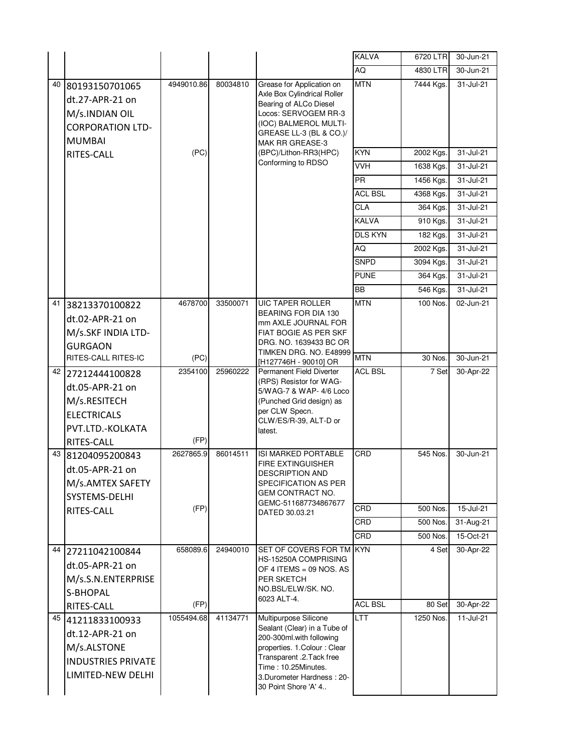|    |                                                                                                              |                 |          |                                                                                                                                                                                                                            | <b>KALVA</b>   | 6720 LTR  | 30-Jun-21   |
|----|--------------------------------------------------------------------------------------------------------------|-----------------|----------|----------------------------------------------------------------------------------------------------------------------------------------------------------------------------------------------------------------------------|----------------|-----------|-------------|
|    |                                                                                                              |                 |          |                                                                                                                                                                                                                            | AQ             | 4830 LTR  | 30-Jun-21   |
|    |                                                                                                              |                 |          |                                                                                                                                                                                                                            |                |           |             |
| 40 | 80193150701065<br>dt.27-APR-21 on<br>M/s.INDIAN OIL<br><b>CORPORATION LTD-</b><br><b>MUMBAI</b>              | 4949010.86      | 80034810 | Grease for Application on<br>Axle Box Cylindrical Roller<br>Bearing of ALCo Diesel<br>Locos: SERVOGEM RR-3<br>(IOC) BALMEROL MULTI-<br>GREASE LL-3 (BL & CO.)/<br>MAK RR GREASE-3                                          | <b>MTN</b>     | 7444 Kgs. | 31-Jul-21   |
|    | RITES-CALL                                                                                                   | (PC)            |          | (BPC)/Lithon-RR3(HPC)                                                                                                                                                                                                      | <b>KYN</b>     | 2002 Kgs. | 31-Jul-21   |
|    |                                                                                                              |                 |          | Conforming to RDSO                                                                                                                                                                                                         | VVH            | 1638 Kgs. | 31-Jul-21   |
|    |                                                                                                              |                 |          |                                                                                                                                                                                                                            | <b>PR</b>      | 1456 Kgs. | 31-Jul-21   |
|    |                                                                                                              |                 |          |                                                                                                                                                                                                                            | <b>ACL BSL</b> | 4368 Kgs. | 31-Jul-21   |
|    |                                                                                                              |                 |          |                                                                                                                                                                                                                            | <b>CLA</b>     | 364 Kgs.  | 31-Jul-21   |
|    |                                                                                                              |                 |          |                                                                                                                                                                                                                            | <b>KALVA</b>   | 910 Kgs.  | 31-Jul-21   |
|    |                                                                                                              |                 |          |                                                                                                                                                                                                                            | <b>DLS KYN</b> | 182 Kgs.  | 31-Jul-21   |
|    |                                                                                                              |                 |          |                                                                                                                                                                                                                            | AQ             | 2002 Kgs. | 31-Jul-21   |
|    |                                                                                                              |                 |          |                                                                                                                                                                                                                            | <b>SNPD</b>    | 3094 Kgs. | 31-Jul-21   |
|    |                                                                                                              |                 |          |                                                                                                                                                                                                                            | <b>PUNE</b>    | 364 Kgs.  | 31-Jul-21   |
|    |                                                                                                              |                 |          |                                                                                                                                                                                                                            | <b>BB</b>      | 546 Kgs.  | 31-Jul-21   |
| 41 | 38213370100822<br>dt.02-APR-21 on<br>M/s.SKF INDIA LTD-<br><b>GURGAON</b>                                    | 4678700         | 33500071 | <b>UIC TAPER ROLLER</b><br>BEARING FOR DIA 130<br>mm AXLE JOURNAL FOR<br>FIAT BOGIE AS PER SKF<br>DRG. NO. 1639433 BC OR                                                                                                   | <b>MTN</b>     | 100 Nos.  | 02-Jun-21   |
|    | RITES-CALL RITES-IC                                                                                          | (PC)            |          | TIMKEN DRG. NO. E48999<br>[H127746H - 90010] OR                                                                                                                                                                            | <b>MTN</b>     | 30 Nos.   | 30-Jun-21   |
|    | 42 27212444100828<br>dt.05-APR-21 on<br>M/s.RESITECH<br><b>ELECTRICALS</b><br>PVT.LTD.-KOLKATA<br>RITES-CALL | 2354100<br>(FP) | 25960222 | Permanent Field Diverter<br>(RPS) Resistor for WAG-<br>5/WAG-7 & WAP- 4/6 Loco<br>(Punched Grid design) as<br>per CLW Specn.<br>CLW/ES/R-39, ALT-D or<br>latest.                                                           | <b>ACL BSL</b> | 7 Set     | 30-Apr-22   |
|    | 43 81204095200843<br>dt.05-APR-21 on<br>M/s.AMTEX SAFETY<br>SYSTEMS-DELHI                                    | 2627865.9       | 86014511 | <b>ISI MARKED PORTABLE</b><br><b>FIRE EXTINGUISHER</b><br><b>DESCRIPTION AND</b><br>SPECIFICATION AS PER<br><b>GEM CONTRACT NO.</b>                                                                                        | CRD            | 545 Nos.  | 30-Jun-21   |
|    | RITES-CALL                                                                                                   | (FP)            |          | GEMC-511687734867677<br>DATED 30.03.21                                                                                                                                                                                     | CRD            | 500 Nos.  | 15-Jul-21   |
|    |                                                                                                              |                 |          |                                                                                                                                                                                                                            | CRD            | 500 Nos.  | 31-Aug-21   |
|    |                                                                                                              |                 |          |                                                                                                                                                                                                                            | CRD            | 500 Nos.  | $15-Ort-21$ |
|    | 44 27211042100844<br>dt.05-APR-21 on<br>M/s.S.N.ENTERPRISE<br>S-BHOPAL                                       | 658089.6        | 24940010 | SET OF COVERS FOR TM KYN<br>HS-15250A COMPRISING<br>OF 4 ITEMS = 09 NOS. AS<br>PER SKETCH<br>NO.BSL/ELW/SK. NO.<br>6023 ALT-4.                                                                                             |                | 4 Set     | 30-Apr-22   |
|    | RITES-CALL                                                                                                   | (FP)            |          |                                                                                                                                                                                                                            | <b>ACL BSL</b> | 80 Set    | 30-Apr-22   |
|    | 45 41211833100933<br>dt.12-APR-21 on<br>M/s.ALSTONE<br><b>INDUSTRIES PRIVATE</b><br>LIMITED-NEW DELHI        | 1055494.68      | 41134771 | Multipurpose Silicone<br>Sealant (Clear) in a Tube of<br>200-300ml.with following<br>properties. 1. Colour: Clear<br>Transparent .2. Tack free<br>Time: 10.25Minutes.<br>3.Durometer Hardness: 20-<br>30 Point Shore 'A' 4 | LTT            | 1250 Nos. | 11-Jul-21   |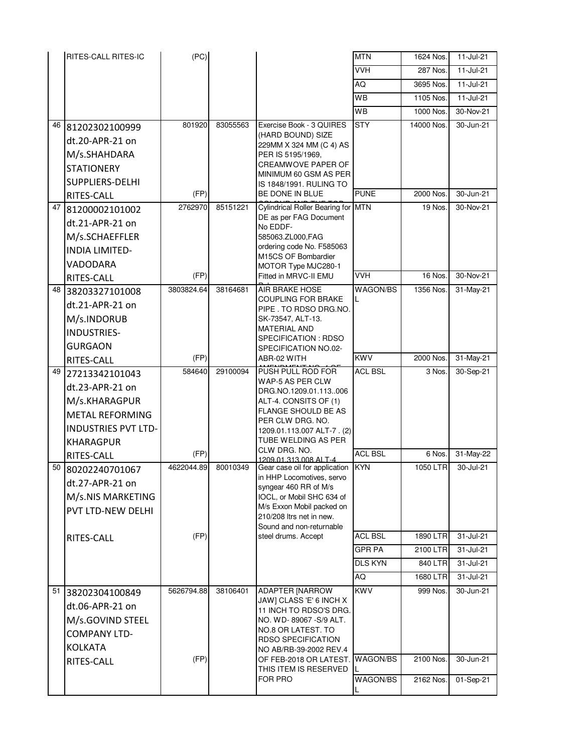|    | RITES-CALL RITES-IC        | (PC)       |          |                                                        | <b>MTN</b>     | 1624 Nos.  | 11-Jul-21 |
|----|----------------------------|------------|----------|--------------------------------------------------------|----------------|------------|-----------|
|    |                            |            |          |                                                        | VVH            | 287 Nos.   | 11-Jul-21 |
|    |                            |            |          |                                                        | AQ             | 3695 Nos.  | 11-Jul-21 |
|    |                            |            |          |                                                        | WB             | 1105 Nos.  | 11-Jul-21 |
|    |                            |            |          |                                                        | <b>WB</b>      | 1000 Nos.  | 30-Nov-21 |
| 46 | 81202302100999             | 801920     | 83055563 | Exercise Book - 3 QUIRES                               | <b>STY</b>     | 14000 Nos. | 30-Jun-21 |
|    | dt.20-APR-21 on            |            |          | (HARD BOUND) SIZE                                      |                |            |           |
|    | M/s.SHAHDARA               |            |          | 229MM X 324 MM (C 4) AS<br>PER IS 5195/1969,           |                |            |           |
|    | <b>STATIONERY</b>          |            |          | CREAMWOVE PAPER OF                                     |                |            |           |
|    | SUPPLIERS-DELHI            |            |          | MINIMUM 60 GSM AS PER<br>IS 1848/1991, RULING TO       |                |            |           |
|    | RITES-CALL                 | (FP)       |          | BE DONE IN BLUE                                        | <b>PUNE</b>    | 2000 Nos.  | 30-Jun-21 |
| 47 | 81200002101002             | 2762970    | 85151221 | Cylindrical Roller Bearing for MTN                     |                | 19 Nos.    | 30-Nov-21 |
|    | dt.21-APR-21 on            |            |          | DE as per FAG Document<br>No EDDF-                     |                |            |           |
|    | M/s.SCHAEFFLER             |            |          | 585063.ZL000,FAG                                       |                |            |           |
|    | <b>INDIA LIMITED-</b>      |            |          | ordering code No. F585063                              |                |            |           |
|    | VADODARA                   |            |          | M15CS OF Bombardier<br>MOTOR Type MJC280-1             |                |            |           |
|    | RITES-CALL                 | (FP)       |          | Fitted in MRVC-II EMU                                  | <b>VVH</b>     | 16 Nos.    | 30-Nov-21 |
| 48 | 38203327101008             | 3803824.64 | 38164681 | AIR BRAKE HOSE                                         | WAGON/BS       | 1356 Nos.  | 31-May-21 |
|    | dt.21-APR-21 on            |            |          | COUPLING FOR BRAKE                                     | L              |            |           |
|    | M/s.INDORUB                |            |          | PIPE. TO RDSO DRG.NO.<br>SK-73547, ALT-13.             |                |            |           |
|    | <b>INDUSTRIES-</b>         |            |          | <b>MATERIAL AND</b>                                    |                |            |           |
|    | <b>GURGAON</b>             |            |          | SPECIFICATION: RDSO<br>SPECIFICATION NO.02-            |                |            |           |
|    | RITES-CALL                 | (FP)       |          | ABR-02 WITH                                            | <b>KWV</b>     | 2000 Nos.  | 31-May-21 |
| 49 | 27213342101043             | 584640     | 29100094 | PUSH PULL ROD FOR                                      | <b>ACL BSL</b> | 3 Nos.     | 30-Sep-21 |
|    | dt.23-APR-21 on            |            |          | WAP-5 AS PER CLW                                       |                |            |           |
|    | M/s.KHARAGPUR              |            |          | DRG.NO.1209.01.113006<br>ALT-4. CONSITS OF (1)         |                |            |           |
|    | <b>METAL REFORMING</b>     |            |          | <b>FLANGE SHOULD BE AS</b>                             |                |            |           |
|    | <b>INDUSTRIES PVT LTD-</b> |            |          | PER CLW DRG. NO.<br>1209.01.113.007 ALT-7. (2)         |                |            |           |
|    | <b>KHARAGPUR</b>           |            |          | TUBE WELDING AS PER                                    |                |            |           |
|    | RITES-CALL                 | (FP)       |          | CLW DRG. NO.                                           | <b>ACL BSL</b> | 6 Nos.     | 31-May-22 |
| 50 | 80202240701067             | 4622044.89 | 80010349 | 1209.01.313.008 ALT-4<br>Gear case oil for application | <b>KYN</b>     | 1050 LTR   | 30-Jul-21 |
|    | dt.27-APR-21 on            |            |          | in HHP Locomotives, servo<br>syngear 460 RR of M/s     |                |            |           |
|    | M/s.NIS MARKETING          |            |          | IOCL, or Mobil SHC 634 of                              |                |            |           |
|    | PVT LTD-NEW DELHI          |            |          | M/s Exxon Mobil packed on                              |                |            |           |
|    |                            |            |          | 210/208 Itrs net in new.<br>Sound and non-returnable   |                |            |           |
|    | RITES-CALL                 | (FP)       |          | steel drums. Accept                                    | <b>ACL BSL</b> | 1890 LTR   | 31-Jul-21 |
|    |                            |            |          |                                                        | <b>GPR PA</b>  | 2100 LTR   | 31-Jul-21 |
|    |                            |            |          |                                                        | <b>DLS KYN</b> | 840 LTR    | 31-Jul-21 |
|    |                            |            |          |                                                        | AQ             | 1680 LTR   | 31-Jul-21 |
| 51 | 38202304100849             | 5626794.88 | 38106401 | <b>ADAPTER [NARROW</b>                                 | <b>KWV</b>     | 999 Nos.   | 30-Jun-21 |
|    | dt.06-APR-21 on            |            |          | JAW] CLASS 'E' 6 INCH X<br>11 INCH TO RDSO'S DRG.      |                |            |           |
|    | M/s.GOVIND STEEL           |            |          | NO. WD-89067-S/9 ALT.                                  |                |            |           |
|    | <b>COMPANY LTD-</b>        |            |          | NO.8 OR LATEST. TO                                     |                |            |           |
|    | <b>KOLKATA</b>             |            |          | <b>RDSO SPECIFICATION</b><br>NO AB/RB-39-2002 REV.4    |                |            |           |
|    | RITES-CALL                 | (FP)       |          | OF FEB-2018 OR LATEST. WAGON/BS                        |                | 2100 Nos.  | 30-Jun-21 |
|    |                            |            |          | THIS ITEM IS RESERVED<br>FOR PRO                       |                |            |           |
|    |                            |            |          |                                                        | WAGON/BS       | 2162 Nos.  | 01-Sep-21 |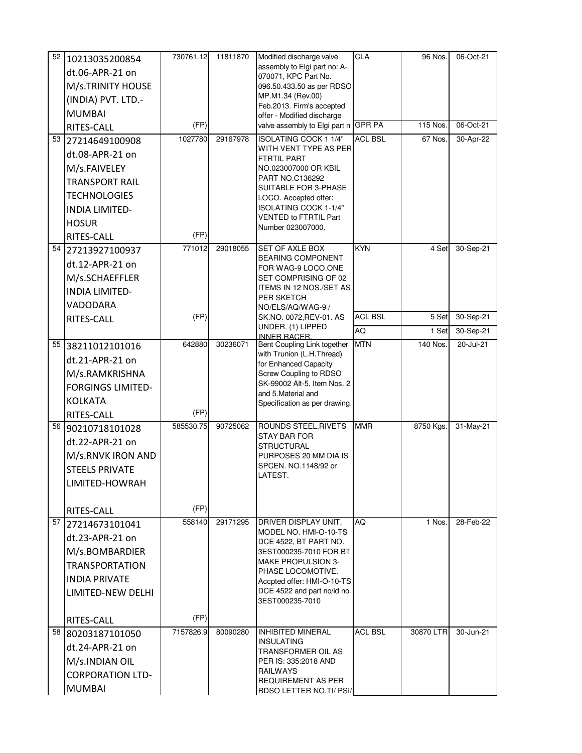| 52 | 10213035200854                            | 730761.12 | 11811870 | Modified discharge valve                                  | <b>CLA</b>     | 96 Nos.   | 06-Oct-21 |
|----|-------------------------------------------|-----------|----------|-----------------------------------------------------------|----------------|-----------|-----------|
|    | dt.06-APR-21 on                           |           |          | assembly to Elgi part no: A-<br>070071, KPC Part No.      |                |           |           |
|    | M/s.TRINITY HOUSE                         |           |          | 096.50.433.50 as per RDSO                                 |                |           |           |
|    | (INDIA) PVT. LTD.-                        |           |          | MP.M1.34 (Rev.00)                                         |                |           |           |
|    | <b>MUMBAI</b>                             |           |          | Feb.2013. Firm's accepted<br>offer - Modified discharge   |                |           |           |
|    | RITES-CALL                                | (FP)      |          | valve assembly to Elgi part n GPR PA                      |                | 115 Nos.  | 06-Oct-21 |
|    | 53 27214649100908                         | 1027780   | 29167978 | ISOLATING COCK 1 1/4"                                     | <b>ACL BSL</b> | 67 Nos.   | 30-Apr-22 |
|    | dt.08-APR-21 on                           |           |          | WITH VENT TYPE AS PER<br><b>FTRTIL PART</b>               |                |           |           |
|    | M/s.FAIVELEY                              |           |          | NO.023007000 OR KBIL                                      |                |           |           |
|    | <b>TRANSPORT RAIL</b>                     |           |          | PART NO.C136292                                           |                |           |           |
|    | <b>TECHNOLOGIES</b>                       |           |          | SUITABLE FOR 3-PHASE<br>LOCO. Accepted offer:             |                |           |           |
|    | <b>INDIA LIMITED-</b>                     |           |          | ISOLATING COCK 1-1/4"                                     |                |           |           |
|    | <b>HOSUR</b>                              |           |          | VENTED to FTRTIL Part<br>Number 023007000.                |                |           |           |
|    | RITES-CALL                                | (FP)      |          |                                                           |                |           |           |
|    | 54 27213927100937                         | 771012    | 29018055 | SET OF AXLE BOX                                           | <b>KYN</b>     | 4 Set     | 30-Sep-21 |
|    | dt.12-APR-21 on                           |           |          | <b>BEARING COMPONENT</b><br>FOR WAG-9 LOCO.ONE            |                |           |           |
|    | M/s.SCHAEFFLER                            |           |          | SET COMPRISING OF 02                                      |                |           |           |
|    | <b>INDIA LIMITED-</b>                     |           |          | ITEMS IN 12 NOS./SET AS<br>PER SKETCH                     |                |           |           |
|    | VADODARA                                  |           |          | NO/ELS/AQ/WAG-9 /                                         |                |           |           |
|    | RITES-CALL                                | (FP)      |          | SK.NO. 0072, REV-01. AS<br>UNDER. (1) LIPPED              | <b>ACL BSL</b> | 5 Set     | 30-Sep-21 |
|    |                                           |           |          | <b>INNER RACER</b>                                        | AQ             | 1 Set     | 30-Sep-21 |
|    | 55 38211012101016                         | 642880    | 30236071 | Bent Coupling Link together<br>with Trunion (L.H.Thread)  | <b>MTN</b>     | 140 Nos.  | 20-Jul-21 |
|    | dt.21-APR-21 on                           |           |          | for Enhanced Capacity                                     |                |           |           |
|    | M/s.RAMKRISHNA                            |           |          | Screw Coupling to RDSO                                    |                |           |           |
|    | <b>FORGINGS LIMITED-</b>                  |           |          | SK-99002 Alt-5, Item Nos. 2<br>and 5.Material and         |                |           |           |
|    | <b>KOLKATA</b>                            |           |          | Specification as per drawing.                             |                |           |           |
|    | RITES-CALL                                | (FP)      |          |                                                           |                |           |           |
| 56 | 90210718101028                            | 585530.75 | 90725062 | ROUNDS STEEL, RIVETS<br><b>STAY BAR FOR</b>               | <b>MMR</b>     | 8750 Kgs. | 31-May-21 |
|    | dt.22-APR-21 on                           |           |          | STRUCTURAL                                                |                |           |           |
|    | M/s.RNVK IRON AND                         |           |          | PURPOSES 20 MM DIA IS                                     |                |           |           |
|    | <b>STEELS PRIVATE</b>                     |           |          | SPCEN. NO.1148/92 or<br>LATEST.                           |                |           |           |
|    | LIMITED-HOWRAH                            |           |          |                                                           |                |           |           |
|    |                                           | (FP)      |          |                                                           |                |           |           |
|    | RITES-CALL                                | 558140    | 29171295 | DRIVER DISPLAY UNIT,                                      | AQ             | 1 Nos.    | 28-Feb-22 |
|    | 57 27214673101041                         |           |          | MODEL NO. HMI-O-10-TS                                     |                |           |           |
|    | dt.23-APR-21 on                           |           |          | DCE 4522, BT PART NO.                                     |                |           |           |
|    | M/s.BOMBARDIER                            |           |          | 3EST000235-7010 FOR BT<br><b>MAKE PROPULSION 3-</b>       |                |           |           |
|    | <b>TRANSPORTATION</b>                     |           |          | PHASE LOCOMOTIVE.                                         |                |           |           |
|    | <b>INDIA PRIVATE</b><br>LIMITED-NEW DELHI |           |          | Accpted offer: HMI-O-10-TS<br>DCE 4522 and part no/id no. |                |           |           |
|    |                                           |           |          | 3EST000235-7010                                           |                |           |           |
|    | RITES-CALL                                | (FP)      |          |                                                           |                |           |           |
|    | 58 80203187101050                         | 7157826.9 | 80090280 | <b>INHIBITED MINERAL</b><br><b>INSULATING</b>             | <b>ACL BSL</b> | 30870 LTR | 30-Jun-21 |
|    | dt.24-APR-21 on                           |           |          | TRANSFORMER OIL AS                                        |                |           |           |
|    | M/s.INDIAN OIL                            |           |          | PER IS: 335:2018 AND                                      |                |           |           |
|    | <b>CORPORATION LTD-</b>                   |           |          | <b>RAILWAYS</b><br><b>REQUIREMENT AS PER</b>              |                |           |           |
|    | <b>MUMBAI</b>                             |           |          | RDSO LETTER NO.TI/ PSI/                                   |                |           |           |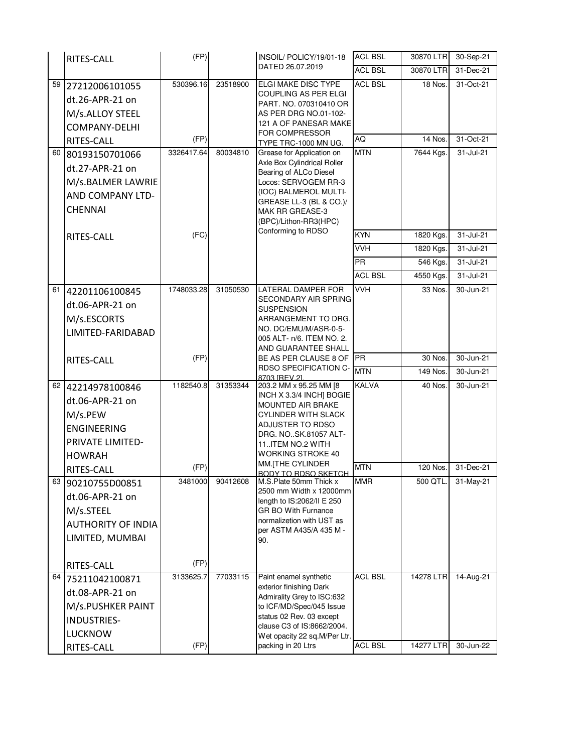|    | RITES-CALL                | (FP)       |          | INSOIL/POLICY/19/01-18                                 | <b>ACL BSL</b> | 30870 LTR   | 30-Sep-21 |
|----|---------------------------|------------|----------|--------------------------------------------------------|----------------|-------------|-----------|
|    |                           |            |          | DATED 26.07.2019                                       | <b>ACL BSL</b> | 30870 LTR   | 31-Dec-21 |
| 59 | 27212006101055            | 530396.16  | 23518900 | ELGI MAKE DISC TYPE                                    | <b>ACL BSL</b> | 18 Nos.     | 31-Oct-21 |
|    | dt.26-APR-21 on           |            |          | <b>COUPLING AS PER ELGI</b><br>PART. NO. 070310410 OR  |                |             |           |
|    | M/s.ALLOY STEEL           |            |          | AS PER DRG NO.01-102-                                  |                |             |           |
|    | COMPANY-DELHI             |            |          | 121 A OF PANESAR MAKE                                  |                |             |           |
|    | RITES-CALL                | (FP)       |          | FOR COMPRESSOR<br>TYPE TRC-1000 MN UG.                 | AQ             | 14 Nos.     | 31-Oct-21 |
| 60 | 80193150701066            | 3326417.64 | 80034810 | Grease for Application on                              | <b>MTN</b>     | 7644 Kgs.   | 31-Jul-21 |
|    | dt.27-APR-21 on           |            |          | Axle Box Cylindrical Roller<br>Bearing of ALCo Diesel  |                |             |           |
|    | M/s.BALMER LAWRIE         |            |          | Locos: SERVOGEM RR-3                                   |                |             |           |
|    | AND COMPANY LTD-          |            |          | (IOC) BALMEROL MULTI-                                  |                |             |           |
|    | <b>CHENNAI</b>            |            |          | GREASE LL-3 (BL & CO.)/<br><b>MAK RR GREASE-3</b>      |                |             |           |
|    |                           |            |          | (BPC)/Lithon-RR3(HPC)                                  |                |             |           |
|    | RITES-CALL                | (FC)       |          | Conforming to RDSO                                     | <b>KYN</b>     | 1820 Kgs.   | 31-Jul-21 |
|    |                           |            |          |                                                        | <b>VVH</b>     | 1820 Kgs.   | 31-Jul-21 |
|    |                           |            |          |                                                        | <b>PR</b>      | 546 Kgs.    | 31-Jul-21 |
|    |                           |            |          |                                                        | <b>ACL BSL</b> | 4550 Kgs.   | 31-Jul-21 |
| 61 | 42201106100845            | 1748033.28 | 31050530 | <b>LATERAL DAMPER FOR</b>                              | <b>VVH</b>     | 33 Nos.     | 30-Jun-21 |
|    | dt.06-APR-21 on           |            |          | SECONDARY AIR SPRING<br><b>SUSPENSION</b>              |                |             |           |
|    | M/s.ESCORTS               |            |          | ARRANGEMENT TO DRG.                                    |                |             |           |
|    | LIMITED-FARIDABAD         |            |          | NO. DC/EMU/M/ASR-0-5-<br>005 ALT- n/6. ITEM NO. 2.     |                |             |           |
|    |                           |            |          | AND GUARANTEE SHALL                                    |                |             |           |
|    | RITES-CALL                | (FP)       |          | BE AS PER CLAUSE 8 OF PR                               |                | 30 Nos.     | 30-Jun-21 |
|    |                           |            |          | <b>RDSO SPECIFICATION C-</b><br>8703 IREV 21           | <b>MTN</b>     | 149 Nos.    | 30-Jun-21 |
| 62 | 42214978100846            | 1182540.8  | 31353344 | 203.2 MM x 95.25 MM [8                                 | <b>KALVA</b>   | 40 Nos.     | 30-Jun-21 |
|    | dt.06-APR-21 on           |            |          | INCH X 3.3/4 INCH] BOGIE<br>MOUNTED AIR BRAKE          |                |             |           |
|    | M/s.PEW                   |            |          | <b>CYLINDER WITH SLACK</b>                             |                |             |           |
|    | <b>ENGINEERING</b>        |            |          | ADJUSTER TO RDSO<br>DRG. NO. SK.81057 ALT-             |                |             |           |
|    | PRIVATE LIMITED-          |            |          | 11ITEM NO.2 WITH                                       |                |             |           |
|    | <b>HOWRAH</b>             |            |          | <b>WORKING STROKE 40</b>                               |                |             |           |
|    | RITES-CALL                | (FP)       |          | MM. THE CYLINDER<br><b>BODY TO RDSO SKETCH</b>         | <b>MTN</b>     | 120 Nos.    | 31-Dec-21 |
| 63 | 90210755D00851            | 3481000    | 90412608 | M.S.Plate 50mm Thick x                                 | <b>MMR</b>     | 500 QTL.    | 31-May-21 |
|    | dt.06-APR-21 on           |            |          | 2500 mm Width x 12000mm<br>length to IS:2062/II E 250  |                |             |           |
|    | M/s.STEEL                 |            |          | <b>GR BO With Furnance</b>                             |                |             |           |
|    | <b>AUTHORITY OF INDIA</b> |            |          | normalizetion with UST as<br>per ASTM A435/A 435 M -   |                |             |           |
|    | LIMITED, MUMBAI           |            |          | 90.                                                    |                |             |           |
|    |                           |            |          |                                                        |                |             |           |
|    | RITES-CALL                | (FP)       |          |                                                        |                |             |           |
| 64 | 75211042100871            | 3133625.7  | 77033115 | Paint enamel synthetic                                 | <b>ACL BSL</b> | $14278$ LTR | 14-Aug-21 |
|    | dt.08-APR-21 on           |            |          | exterior finishing Dark<br>Admirality Grey to ISC:632  |                |             |           |
|    | M/s.PUSHKER PAINT         |            |          | to ICF/MD/Spec/045 Issue                               |                |             |           |
|    | <b>INDUSTRIES-</b>        |            |          | status 02 Rev. 03 except<br>clause C3 of IS:8662/2004. |                |             |           |
|    | <b>LUCKNOW</b>            |            |          | Wet opacity 22 sq.M/Per Ltr.                           |                |             |           |
|    | RITES-CALL                | (FP)       |          | packing in 20 Ltrs                                     | <b>ACL BSL</b> | 14277 LTR   | 30-Jun-22 |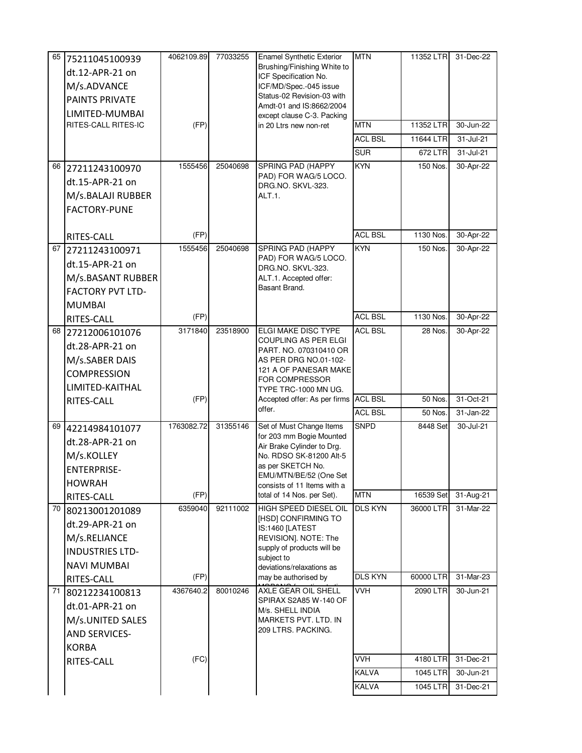| 65 | 75211045100939          | 4062109.89 | 77033255 | <b>Enamel Synthetic Exterior</b>                       | <b>MTN</b>     | 11352 LTR | 31-Dec-22 |
|----|-------------------------|------------|----------|--------------------------------------------------------|----------------|-----------|-----------|
|    | dt.12-APR-21 on         |            |          | Brushing/Finishing White to<br>ICF Specification No.   |                |           |           |
|    | M/s.ADVANCE             |            |          | ICF/MD/Spec.-045 issue                                 |                |           |           |
|    | <b>PAINTS PRIVATE</b>   |            |          | Status-02 Revision-03 with                             |                |           |           |
|    | LIMITED-MUMBAI          |            |          | Amdt-01 and IS:8662/2004<br>except clause C-3. Packing |                |           |           |
|    | RITES-CALL RITES-IC     | (FP)       |          | in 20 Ltrs new non-ret                                 | <b>MTN</b>     | 11352 LTR | 30-Jun-22 |
|    |                         |            |          |                                                        | <b>ACL BSL</b> | 11644 LTR | 31-Jul-21 |
|    |                         |            |          |                                                        | <b>SUR</b>     | 672 LTR   | 31-Jul-21 |
| 66 | 27211243100970          | 1555456    | 25040698 | SPRING PAD (HAPPY                                      | <b>KYN</b>     | 150 Nos.  | 30-Apr-22 |
|    | dt.15-APR-21 on         |            |          | PAD) FOR WAG/5 LOCO.                                   |                |           |           |
|    | M/s.BALAJI RUBBER       |            |          | DRG.NO. SKVL-323.<br>ALT.1.                            |                |           |           |
|    | <b>FACTORY-PUNE</b>     |            |          |                                                        |                |           |           |
|    |                         |            |          |                                                        |                |           |           |
|    | RITES-CALL              | (FP)       |          |                                                        | <b>ACL BSL</b> | 1130 Nos. | 30-Apr-22 |
|    | 67 27211243100971       | 1555456    | 25040698 | SPRING PAD (HAPPY                                      | <b>KYN</b>     | 150 Nos.  | 30-Apr-22 |
|    | dt.15-APR-21 on         |            |          | PAD) FOR WAG/5 LOCO.<br>DRG.NO. SKVL-323.              |                |           |           |
|    | M/s.BASANT RUBBER       |            |          | ALT.1. Accepted offer:                                 |                |           |           |
|    | <b>FACTORY PVT LTD-</b> |            |          | Basant Brand.                                          |                |           |           |
|    | <b>MUMBAI</b>           |            |          |                                                        |                |           |           |
|    | RITES-CALL              | (FP)       |          |                                                        | <b>ACL BSL</b> | 1130 Nos. | 30-Apr-22 |
|    | 68 27212006101076       | 3171840    | 23518900 | ELGI MAKE DISC TYPE                                    | <b>ACL BSL</b> | 28 Nos.   | 30-Apr-22 |
|    | dt.28-APR-21 on         |            |          | COUPLING AS PER ELGI                                   |                |           |           |
|    | M/s.SABER DAIS          |            |          | PART. NO. 070310410 OR<br>AS PER DRG NO.01-102-        |                |           |           |
|    | <b>COMPRESSION</b>      |            |          | 121 A OF PANESAR MAKE                                  |                |           |           |
|    | LIMITED-KAITHAL         |            |          | FOR COMPRESSOR<br>TYPE TRC-1000 MN UG.                 |                |           |           |
|    | RITES-CALL              | (FP)       |          | Accepted offer: As per firms ACL BSL                   |                | 50 Nos.   | 31-Oct-21 |
|    |                         |            |          | offer.                                                 | <b>ACL BSL</b> | 50 Nos.   | 31-Jan-22 |
|    | 69 42214984101077       | 1763082.72 | 31355146 | Set of Must Change Items                               | <b>SNPD</b>    | 8448 Set  | 30-Jul-21 |
|    | dt.28-APR-21 on         |            |          | for 203 mm Bogie Mounted                               |                |           |           |
|    | M/s.KOLLEY              |            |          | Air Brake Cylinder to Drg.<br>No. RDSO SK-81200 Alt-5  |                |           |           |
|    | <b>ENTERPRISE-</b>      |            |          | as per SKETCH No.                                      |                |           |           |
|    | <b>HOWRAH</b>           |            |          | EMU/MTN/BE/52 (One Set<br>consists of 11 Items with a  |                |           |           |
|    | RITES-CALL              | (FP)       |          | total of 14 Nos. per Set).                             | <b>MTN</b>     | 16539 Set | 31-Aug-21 |
|    | 70 80213001201089       | 6359040    | 92111002 | HIGH SPEED DIESEL OIL                                  | <b>DLS KYN</b> | 36000 LTR | 31-Mar-22 |
|    | dt.29-APR-21 on         |            |          | [HSD] CONFIRMING TO                                    |                |           |           |
|    | M/s.RELIANCE            |            |          | IS:1460 [LATEST<br>REVISION]. NOTE: The                |                |           |           |
|    | <b>INDUSTRIES LTD-</b>  |            |          | supply of products will be                             |                |           |           |
|    | <b>NAVI MUMBAI</b>      |            |          | subject to<br>deviations/relaxations as                |                |           |           |
|    | RITES-CALL              | (FP)       |          | may be authorised by                                   | <b>DLS KYN</b> | 60000 LTR | 31-Mar-23 |
| 71 | 80212234100813          | 4367640.2  | 80010246 | AXLE GEAR OIL SHELL                                    | <b>VVH</b>     | 2090 LTR  | 30-Jun-21 |
|    | dt.01-APR-21 on         |            |          | SPIRAX S2A85 W-140 OF<br>M/s. SHELL INDIA              |                |           |           |
|    | M/s.UNITED SALES        |            |          | MARKETS PVT. LTD. IN                                   |                |           |           |
|    | <b>AND SERVICES-</b>    |            |          | 209 LTRS. PACKING.                                     |                |           |           |
|    | <b>KORBA</b>            |            |          |                                                        |                |           |           |
|    | RITES-CALL              | (FC)       |          |                                                        | <b>VVH</b>     | 4180 LTR  | 31-Dec-21 |
|    |                         |            |          |                                                        | KALVA          | 1045 LTR  | 30-Jun-21 |
|    |                         |            |          |                                                        | <b>KALVA</b>   | 1045 LTR  | 31-Dec-21 |
|    |                         |            |          |                                                        |                |           |           |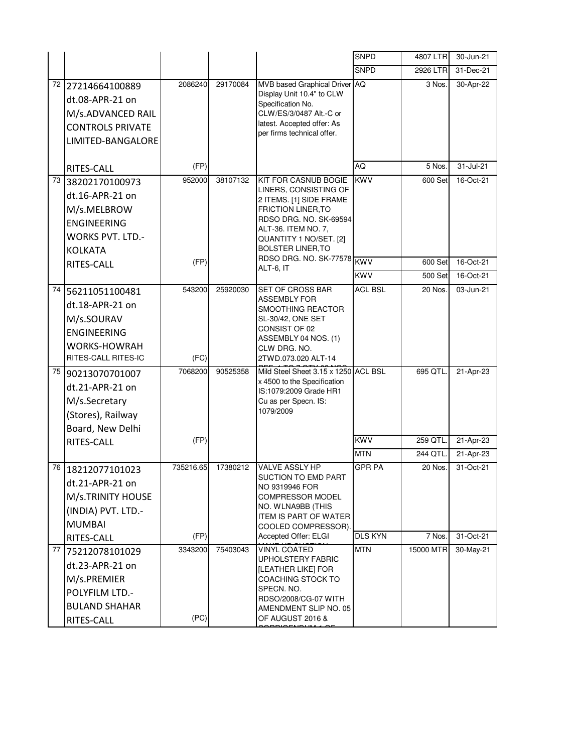|      |                                                                                                                     |                   |          |                                                                                                                                                                                                                     | <b>SNPD</b>                     | 4807 LTR            | 30-Jun-21              |
|------|---------------------------------------------------------------------------------------------------------------------|-------------------|----------|---------------------------------------------------------------------------------------------------------------------------------------------------------------------------------------------------------------------|---------------------------------|---------------------|------------------------|
|      |                                                                                                                     |                   |          |                                                                                                                                                                                                                     | <b>SNPD</b>                     | 2926 LTR            | 31-Dec-21              |
| 72   | 27214664100889<br>dt.08-APR-21 on<br>M/s.ADVANCED RAIL<br><b>CONTROLS PRIVATE</b><br>LIMITED-BANGALORE              | 2086240           | 29170084 | MVB based Graphical Driver AQ<br>Display Unit 10.4" to CLW<br>Specification No.<br>CLW/ES/3/0487 Alt.-C or<br>latest. Accepted offer: As<br>per firms technical offer.                                              |                                 | 3 Nos.              | 30-Apr-22              |
|      | RITES-CALL                                                                                                          | (FP)              |          |                                                                                                                                                                                                                     | AQ                              | 5 Nos.              | 31-Jul-21              |
| 73   | 38202170100973<br>dt.16-APR-21 on<br>M/s.MELBROW<br><b>ENGINEERING</b><br><b>WORKS PVT. LTD.-</b><br><b>KOLKATA</b> | 952000            | 38107132 | <b>KIT FOR CASNUB BOGIE</b><br>LINERS, CONSISTING OF<br>2 ITEMS. [1] SIDE FRAME<br><b>FRICTION LINER, TO</b><br>RDSO DRG. NO. SK-69594<br>ALT-36. ITEM NO. 7,<br>QUANTITY 1 NO/SET. [2]<br><b>BOLSTER LINER, TO</b> | <b>KWV</b>                      | 600 Set             | 16-Oct-21              |
|      | RITES-CALL                                                                                                          | (FP)              |          | RDSO DRG. NO. SK-77578 KWV<br>ALT-6, IT                                                                                                                                                                             |                                 | 600 Set             | 16-Oct-21              |
|      |                                                                                                                     |                   |          |                                                                                                                                                                                                                     | <b>KWV</b>                      | 500 Set             | 16-Oct-21              |
| 74   | 56211051100481<br>dt.18-APR-21 on<br>M/s.SOURAV<br><b>ENGINEERING</b><br><b>WORKS-HOWRAH</b><br>RITES-CALL RITES-IC | 543200<br>(FC)    | 25920030 | <b>SET OF CROSS BAR</b><br><b>ASSEMBLY FOR</b><br>SMOOTHING REACTOR<br>SL-30/42, ONE SET<br>CONSIST OF 02<br>ASSEMBLY 04 NOS. (1)<br>CLW DRG. NO.<br>2TWD.073.020 ALT-14                                            | <b>ACL BSL</b>                  | 20 Nos.             | 03-Jun-21              |
|      | 75 90213070701007<br>dt.21-APR-21 on<br>M/s.Secretary<br>(Stores), Railway<br>Board, New Delhi<br>RITES-CALL        | 7068200<br>(FP)   | 90525358 | Mild Steel Sheet 3.15 x 1250 ACL BSL<br>x 4500 to the Specification<br>IS:1079:2009 Grade HR1<br>Cu as per Specn. IS:<br>1079/2009                                                                                  | <b>KWV</b>                      | 695 QTL<br>259 QTL. | 21-Apr-23<br>21-Apr-23 |
|      |                                                                                                                     |                   |          |                                                                                                                                                                                                                     | <b>MTN</b>                      | 244 QTL             | 21-Apr-23              |
| 76 I | 18212077101023<br>dt.21-APR-21 on<br>M/s.TRINITY HOUSE<br>(INDIA) PVT. LTD.-<br><b>MUMBAI</b><br>RITES-CALL         | 735216.65<br>(FP) | 17380212 | VALVE ASSLY HP<br>SUCTION TO EMD PART<br>NO 9319946 FOR<br>COMPRESSOR MODEL<br>NO. WLNA9BB (THIS<br><b>ITEM IS PART OF WATER</b><br>COOLED COMPRESSOR).<br>Accepted Offer: ELGI                                     | <b>GPR PA</b><br><b>DLS KYN</b> | 20 Nos.<br>7 Nos.   | 31-Oct-21<br>31-Oct-21 |
| 77   | 75212078101029                                                                                                      | 3343200           | 75403043 | <b>VINYL COATED</b>                                                                                                                                                                                                 | <b>MTN</b>                      | 15000 MTR           | 30-May-21              |
|      | dt.23-APR-21 on<br>M/s.PREMIER<br>POLYFILM LTD.-<br><b>BULAND SHAHAR</b><br>RITES-CALL                              | (PC)              |          | <b>UPHOLSTERY FABRIC</b><br>[LEATHER LIKE] FOR<br>COACHING STOCK TO<br>SPECN. NO.<br>RDSO/2008/CG-07 WITH<br>AMENDMENT SLIP NO. 05<br>OF AUGUST 2016 &                                                              |                                 |                     |                        |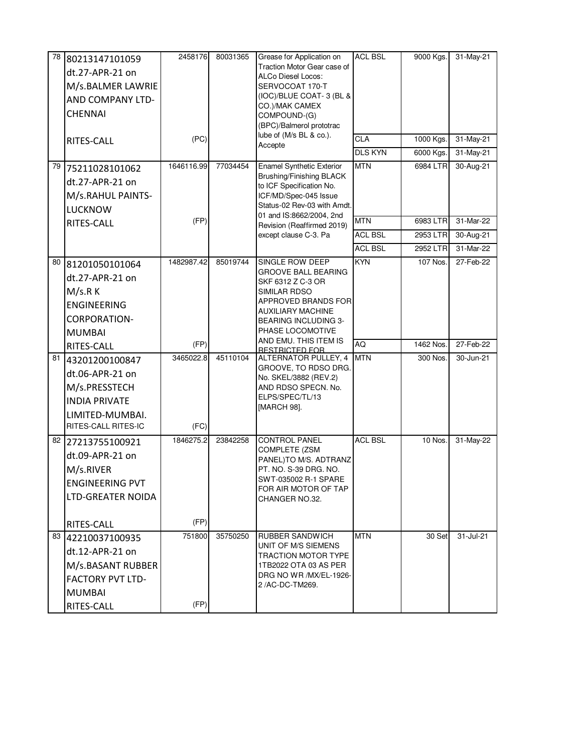| 78   | 80213147101059           | 2458176    | 80031365 | Grease for Application on                              | <b>ACL BSL</b> | 9000 Kgs. | 31-May-21        |
|------|--------------------------|------------|----------|--------------------------------------------------------|----------------|-----------|------------------|
|      | dt.27-APR-21 on          |            |          | Traction Motor Gear case of<br>ALCo Diesel Locos:      |                |           |                  |
|      | M/s.BALMER LAWRIE        |            |          | SERVOCOAT 170-T                                        |                |           |                  |
|      | AND COMPANY LTD-         |            |          | (IOC)/BLUE COAT-3 (BL &                                |                |           |                  |
|      | <b>CHENNAI</b>           |            |          | CO.)/MAK CAMEX<br>COMPOUND-(G)                         |                |           |                  |
|      |                          |            |          | (BPC)/Balmerol prototrac                               |                |           |                  |
|      | RITES-CALL               | (PC)       |          | lube of (M/s BL & co.).                                | CLA            | 1000 Kgs. | 31-May-21        |
|      |                          |            |          | Accepte                                                | <b>DLS KYN</b> | 6000 Kgs. | 31-May-21        |
| 79 I | 75211028101062           | 1646116.99 | 77034454 | <b>Enamel Synthetic Exterior</b>                       | <b>MTN</b>     | 6984 LTR  | 30-Aug-21        |
|      | dt.27-APR-21 on          |            |          | Brushing/Finishing BLACK<br>to ICF Specification No.   |                |           |                  |
|      | M/s.RAHUL PAINTS-        |            |          | ICF/MD/Spec-045 Issue                                  |                |           |                  |
|      | <b>LUCKNOW</b>           |            |          | Status-02 Rev-03 with Amdt.                            |                |           |                  |
|      | RITES-CALL               | (FP)       |          | 01 and IS:8662/2004, 2nd<br>Revision (Reaffirmed 2019) | <b>MTN</b>     | 6983 LTR  | 31-Mar-22        |
|      |                          |            |          | except clause C-3. Pa                                  | <b>ACL BSL</b> | 2953 LTR  | 30-Aug-21        |
|      |                          |            |          |                                                        | <b>ACL BSL</b> | 2952 LTR  | 31-Mar-22        |
|      | 80 81201050101064        | 1482987.42 | 85019744 | SINGLE ROW DEEP                                        | <b>KYN</b>     | 107 Nos.  | 27-Feb-22        |
|      | dt.27-APR-21 on          |            |          | GROOVE BALL BEARING<br>SKF 6312 Z C-3 OR               |                |           |                  |
|      | M/s.R K                  |            |          | SIMILAR RDSO                                           |                |           |                  |
|      | <b>ENGINEERING</b>       |            |          | APPROVED BRANDS FOR                                    |                |           |                  |
|      | <b>CORPORATION-</b>      |            |          | AUXILIARY MACHINE<br>BEARING INCLUDING 3-              |                |           |                  |
|      | <b>MUMBAI</b>            |            |          | PHASE LOCOMOTIVE                                       |                |           |                  |
|      | RITES-CALL               | (FP)       |          | AND EMU. THIS ITEM IS<br><b>RESTRICTED FOR</b>         | <b>AQ</b>      | 1462 Nos. | 27-Feb-22        |
| 81   | 43201200100847           | 3465022.8  | 45110104 | ALTERNATOR PULLEY, 4                                   | <b>MTN</b>     | 300 Nos.  | 30-Jun-21        |
|      | dt.06-APR-21 on          |            |          | GROOVE, TO RDSO DRG.<br>No. SKEL/3882 (REV.2)          |                |           |                  |
|      | M/s.PRESSTECH            |            |          | AND RDSO SPECN. No.                                    |                |           |                  |
|      | <b>INDIA PRIVATE</b>     |            |          | ELPS/SPEC/TL/13                                        |                |           |                  |
|      | LIMITED-MUMBAI.          |            |          | [MARCH 98].                                            |                |           |                  |
|      | RITES-CALL RITES-IC      | (FC)       |          |                                                        |                |           |                  |
|      | 82 27213755100921        | 1846275.2  | 23842258 | <b>CONTROL PANEL</b>                                   | <b>ACL BSL</b> | 10 Nos    | 31-May-22        |
|      | dt.09-APR-21 on          |            |          | COMPLETE (ZSM<br>PANEL)TO M/S. ADTRANZ                 |                |           |                  |
|      | M/s.RIVER                |            |          | PT. NO. S-39 DRG. NO.                                  |                |           |                  |
|      | <b>ENGINEERING PVT</b>   |            |          | SWT-035002 R-1 SPARE<br>FOR AIR MOTOR OF TAP           |                |           |                  |
|      | <b>LTD-GREATER NOIDA</b> |            |          | CHANGER NO.32.                                         |                |           |                  |
|      |                          |            |          |                                                        |                |           |                  |
|      | RITES-CALL               | (FP)       |          |                                                        |                |           |                  |
|      | 83 42210037100935        | 751800     | 35750250 | RUBBER SANDWICH                                        | <b>MTN</b>     | 30 Set    | $31 -$ Jul- $21$ |
|      | dt.12-APR-21 on          |            |          | UNIT OF M/S SIEMENS<br>TRACTION MOTOR TYPE             |                |           |                  |
|      | M/s.BASANT RUBBER        |            |          | 1TB2022 OTA 03 AS PER                                  |                |           |                  |
|      | <b>FACTORY PVT LTD-</b>  |            |          | DRG NO WR /MX/EL-1926-<br>2 /AC-DC-TM269.              |                |           |                  |
|      | <b>MUMBAI</b>            |            |          |                                                        |                |           |                  |
|      | RITES-CALL               | (FP)       |          |                                                        |                |           |                  |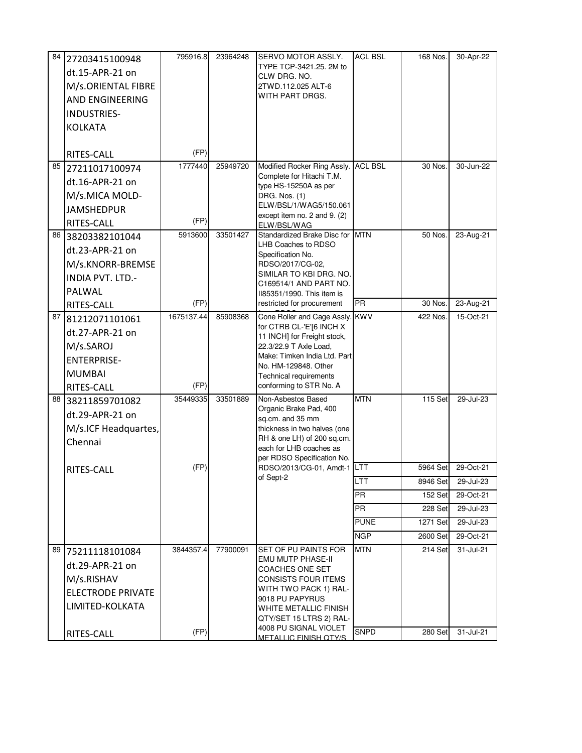| 84 I | 27203415100948           | 795916.8   | 23964248 | SERVO MOTOR ASSLY.                                    | <b>ACL BSL</b> | 168 Nos. | 30-Apr-22 |
|------|--------------------------|------------|----------|-------------------------------------------------------|----------------|----------|-----------|
|      | dt.15-APR-21 on          |            |          | TYPE TCP-3421.25, 2M to<br>CLW DRG. NO.               |                |          |           |
|      | M/s.ORIENTAL FIBRE       |            |          | 2TWD.112.025 ALT-6                                    |                |          |           |
|      | <b>AND ENGINEERING</b>   |            |          | WITH PART DRGS.                                       |                |          |           |
|      | INDUSTRIES-              |            |          |                                                       |                |          |           |
|      | <b>KOLKATA</b>           |            |          |                                                       |                |          |           |
|      |                          |            |          |                                                       |                |          |           |
|      | RITES-CALL               | (FP)       |          |                                                       |                |          |           |
|      | 85 27211017100974        | 1777440    | 25949720 | Modified Rocker Ring Assly. ACL BSL                   |                | 30 Nos.  | 30-Jun-22 |
|      | dt.16-APR-21 on          |            |          | Complete for Hitachi T.M.<br>type HS-15250A as per    |                |          |           |
|      | M/s.MICA MOLD-           |            |          | DRG. Nos. (1)                                         |                |          |           |
|      | <b>JAMSHEDPUR</b>        |            |          | ELW/BSL/1/WAG5/150.061                                |                |          |           |
|      | RITES-CALL               | (FP)       |          | except item no. 2 and 9. (2)<br>ELW/BSL/WAG           |                |          |           |
|      | 86 38203382101044        | 5913600    | 33501427 | Standardized Brake Disc for                           | <b>MTN</b>     | 50 Nos.  | 23-Aug-21 |
|      | dt.23-APR-21 on          |            |          | LHB Coaches to RDSO<br>Specification No.              |                |          |           |
|      | M/s.KNORR-BREMSE         |            |          | RDSO/2017/CG-02.                                      |                |          |           |
|      | INDIA PVT. LTD.-         |            |          | SIMILAR TO KBI DRG. NO.                               |                |          |           |
|      | PALWAL                   |            |          | C169514/1 AND PART NO.<br>II85351/1990. This item is  |                |          |           |
|      | RITES-CALL               | (FP)       |          | restricted for procurement                            | PR             | 30 Nos.  | 23-Aug-21 |
|      | 87 81212071101061        | 1675137.44 | 85908368 | Cone Roller and Cage Assly.                           | <b>KWV</b>     | 422 Nos. | 15-Oct-21 |
|      | dt.27-APR-21 on          |            |          | for CTRB CL-'E'[6 INCH X                              |                |          |           |
|      | M/s.SAROJ                |            |          | 11 INCH] for Freight stock,<br>22.3/22.9 T Axle Load, |                |          |           |
|      | <b>ENTERPRISE-</b>       |            |          | Make: Timken India Ltd. Part                          |                |          |           |
|      | <b>MUMBAI</b>            |            |          | No. HM-129848. Other<br>Technical requirements        |                |          |           |
|      | RITES-CALL               | (FP)       |          | conforming to STR No. A                               |                |          |           |
|      | 88 38211859701082        | 35449335   | 33501889 | Non-Asbestos Based                                    | <b>MTN</b>     | 115 Set  | 29-Jul-23 |
|      | dt.29-APR-21 on          |            |          | Organic Brake Pad, 400                                |                |          |           |
|      | M/s.ICF Headquartes,     |            |          | sq.cm. and 35 mm<br>thickness in two halves (one      |                |          |           |
|      | Chennai                  |            |          | RH & one LH) of 200 sq.cm.                            |                |          |           |
|      |                          |            |          | each for LHB coaches as<br>per RDSO Specification No. |                |          |           |
|      | RITES-CALL               | (FP)       |          | RDSO/2013/CG-01, Amdt-1 LTT                           |                | 5964 Set | 29-Oct-21 |
|      |                          |            |          | of Sept-2                                             | LTT            | 8946 Set | 29-Jul-23 |
|      |                          |            |          |                                                       | <b>PR</b>      | 152 Set  | 29-Oct-21 |
|      |                          |            |          |                                                       | <b>PR</b>      | 228 Set  | 29-Jul-23 |
|      |                          |            |          |                                                       | <b>PUNE</b>    | 1271 Set | 29-Jul-23 |
|      |                          |            |          |                                                       | <b>NGP</b>     | 2600 Set | 29-Oct-21 |
| 89   | 75211118101084           | 3844357.4  | 77900091 | SET OF PU PAINTS FOR                                  | <b>MTN</b>     | 214 Set  | 31-Jul-21 |
|      | dt.29-APR-21 on          |            |          | <b>EMU MUTP PHASE-II</b><br>COACHES ONE SET           |                |          |           |
|      | M/s.RISHAV               |            |          | CONSISTS FOUR ITEMS                                   |                |          |           |
|      | <b>ELECTRODE PRIVATE</b> |            |          | WITH TWO PACK 1) RAL-                                 |                |          |           |
|      | LIMITED-KOLKATA          |            |          | 9018 PU PAPYRUS<br>WHITE METALLIC FINISH              |                |          |           |
|      |                          |            |          | QTY/SET 15 LTRS 2) RAL-                               |                |          |           |
|      | RITES-CALL               | (FP)       |          | 4008 PU SIGNAL VIOLET                                 | <b>SNPD</b>    | 280 Set  | 31-Jul-21 |
|      |                          |            |          | METALLIC FINISH OTY/S                                 |                |          |           |